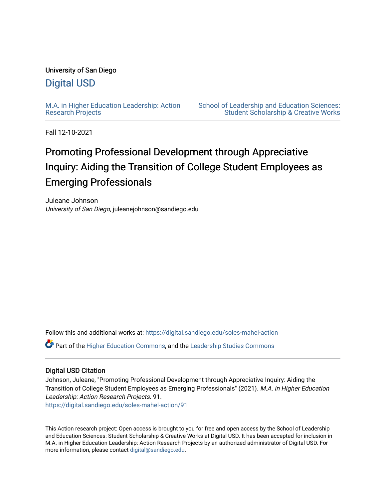# University of San Diego

# [Digital USD](https://digital.sandiego.edu/)

[M.A. in Higher Education Leadership: Action](https://digital.sandiego.edu/soles-mahel-action) [Research Projects](https://digital.sandiego.edu/soles-mahel-action) 

[School of Leadership and Education Sciences:](https://digital.sandiego.edu/soles-student)  [Student Scholarship & Creative Works](https://digital.sandiego.edu/soles-student) 

Fall 12-10-2021

# Promoting Professional Development through Appreciative Inquiry: Aiding the Transition of College Student Employees as Emerging Professionals

Juleane Johnson University of San Diego, juleanejohnson@sandiego.edu

Follow this and additional works at: [https://digital.sandiego.edu/soles-mahel-action](https://digital.sandiego.edu/soles-mahel-action?utm_source=digital.sandiego.edu%2Fsoles-mahel-action%2F91&utm_medium=PDF&utm_campaign=PDFCoverPages)

Part of the [Higher Education Commons,](http://network.bepress.com/hgg/discipline/1245?utm_source=digital.sandiego.edu%2Fsoles-mahel-action%2F91&utm_medium=PDF&utm_campaign=PDFCoverPages) and the [Leadership Studies Commons](http://network.bepress.com/hgg/discipline/1250?utm_source=digital.sandiego.edu%2Fsoles-mahel-action%2F91&utm_medium=PDF&utm_campaign=PDFCoverPages)

# Digital USD Citation

Johnson, Juleane, "Promoting Professional Development through Appreciative Inquiry: Aiding the Transition of College Student Employees as Emerging Professionals" (2021). M.A. in Higher Education Leadership: Action Research Projects. 91. [https://digital.sandiego.edu/soles-mahel-action/91](https://digital.sandiego.edu/soles-mahel-action/91?utm_source=digital.sandiego.edu%2Fsoles-mahel-action%2F91&utm_medium=PDF&utm_campaign=PDFCoverPages) 

This Action research project: Open access is brought to you for free and open access by the School of Leadership and Education Sciences: Student Scholarship & Creative Works at Digital USD. It has been accepted for inclusion in M.A. in Higher Education Leadership: Action Research Projects by an authorized administrator of Digital USD. For more information, please contact [digital@sandiego.edu.](mailto:digital@sandiego.edu)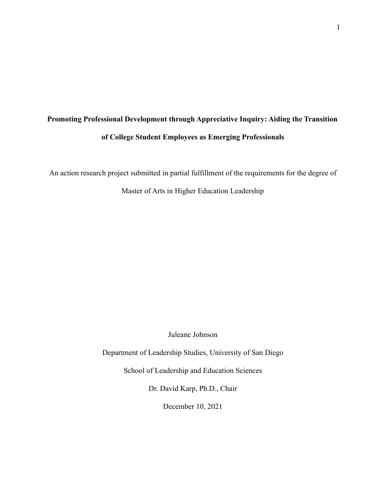# **Promoting Professional Development through Appreciative Inquiry: Aiding the Transition of College Student Employees as Emerging Professionals**

An action research project submitted in partial fulfillment of the requirements for the degree of

Master of Arts in Higher Education Leadership

Juleane Johnson

Department of Leadership Studies, University of San Diego

School of Leadership and Education Sciences

Dr. David Karp, Ph.D., Chair

December 10, 2021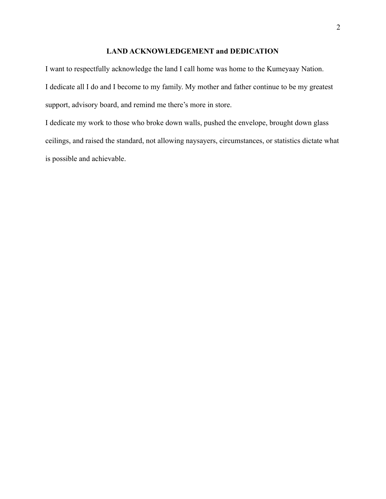#### **LAND ACKNOWLEDGEMENT and DEDICATION**

I want to respectfully acknowledge the land I call home was home to the Kumeyaay Nation. I dedicate all I do and I become to my family. My mother and father continue to be my greatest support, advisory board, and remind me there's more in store.

I dedicate my work to those who broke down walls, pushed the envelope, brought down glass ceilings, and raised the standard, not allowing naysayers, circumstances, or statistics dictate what is possible and achievable.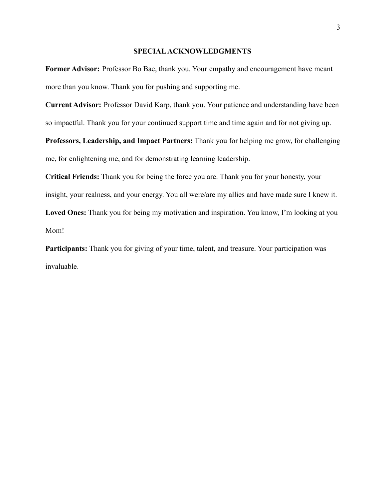#### **SPECIALACKNOWLEDGMENTS**

**Former Advisor:** Professor Bo Bae, thank you. Your empathy and encouragement have meant more than you know. Thank you for pushing and supporting me.

**Current Advisor:** Professor David Karp, thank you. Your patience and understanding have been so impactful. Thank you for your continued support time and time again and for not giving up.

**Professors, Leadership, and Impact Partners:** Thank you for helping me grow, for challenging me, for enlightening me, and for demonstrating learning leadership.

**Critical Friends:** Thank you for being the force you are. Thank you for your honesty, your insight, your realness, and your energy. You all were/are my allies and have made sure I knew it. **Loved Ones:** Thank you for being my motivation and inspiration. You know, I'm looking at you Mom!

**Participants:** Thank you for giving of your time, talent, and treasure. Your participation was invaluable.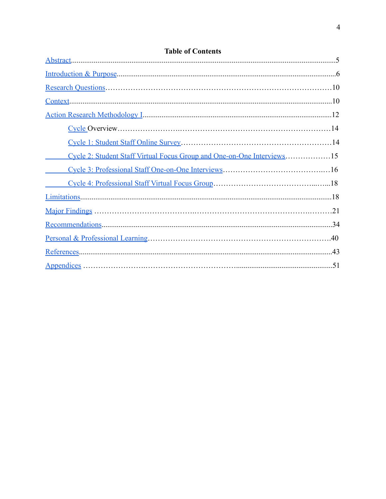| Cycle 2: Student Staff Virtual Focus Group and One-on-One Interviews15 |  |
|------------------------------------------------------------------------|--|
|                                                                        |  |
|                                                                        |  |
|                                                                        |  |
|                                                                        |  |
|                                                                        |  |
|                                                                        |  |
|                                                                        |  |
|                                                                        |  |

# **Table of Contents**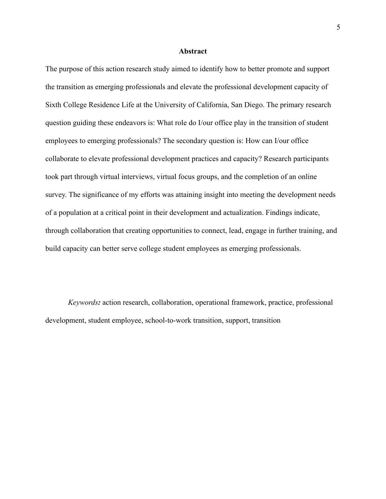#### **Abstract**

<span id="page-5-0"></span>The purpose of this action research study aimed to identify how to better promote and support the transition as emerging professionals and elevate the professional development capacity of Sixth College Residence Life at the University of California, San Diego. The primary research question guiding these endeavors is: What role do I/our office play in the transition of student employees to emerging professionals? The secondary question is: How can I/our office collaborate to elevate professional development practices and capacity? Research participants took part through virtual interviews, virtual focus groups, and the completion of an online survey. The significance of my efforts was attaining insight into meeting the development needs of a population at a critical point in their development and actualization. Findings indicate, through collaboration that creating opportunities to connect, lead, engage in further training, and build capacity can better serve college student employees as emerging professionals.

*Keywords:* action research, collaboration, operational framework, practice, professional development, student employee, school-to-work transition, support, transition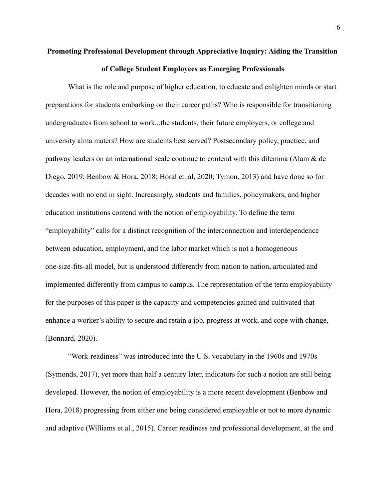# <span id="page-6-0"></span>**Promoting Professional Development through Appreciative Inquiry: Aiding the Transition of College Student Employees as Emerging Professionals**

What is the role and purpose of higher education, to educate and enlighten minds or start preparations for students embarking on their career paths? Who is responsible for transitioning undergraduates from school to work...the students, their future employers, or college and university alma maters? How are students best served? Postsecondary policy, practice, and pathway leaders on an international scale continue to contend with this dilemma (Alam & de Diego, 2019; Benbow & Hora, 2018; Horal et. al, 2020; Tymon, 2013) and have done so for decades with no end in sight. Increasingly, students and families, policymakers, and higher education institutions contend with the notion of employability. To define the term "employability" calls for a distinct recognition of the interconnection and interdependence between education, employment, and the labor market which is not a homogeneous one-size-fits-all model, but is understood differently from nation to nation, articulated and implemented differently from campus to campus. The representation of the term employability for the purposes of this paper is the capacity and competencies gained and cultivated that enhance a worker's ability to secure and retain a job, progress at work, and cope with change, (Bonnard, 2020).

"Work-readiness" was introduced into the U.S. vocabulary in the 1960s and 1970s (Symonds, 2017), yet more than half a century later, indicators for such a notion are still being developed. However, the notion of employability is a more recent development (Benbow and Hora, 2018) progressing from either one being considered employable or not to more dynamic and adaptive (Williams et al., 2015). Career readiness and professional development, at the end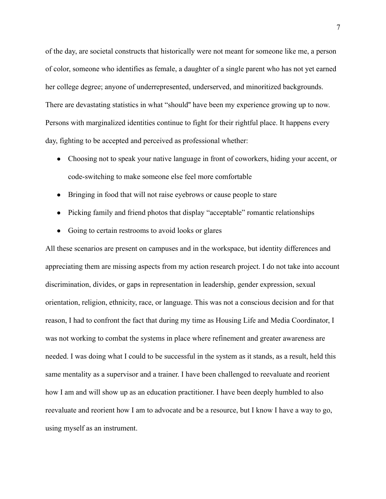of the day, are societal constructs that historically were not meant for someone like me, a person of color, someone who identifies as female, a daughter of a single parent who has not yet earned her college degree; anyone of underrepresented, underserved, and minoritized backgrounds. There are devastating statistics in what "should'' have been my experience growing up to now. Persons with marginalized identities continue to fight for their rightful place. It happens every day, fighting to be accepted and perceived as professional whether:

- Choosing not to speak your native language in front of coworkers, hiding your accent, or code-switching to make someone else feel more comfortable
- Bringing in food that will not raise eyebrows or cause people to stare
- Picking family and friend photos that display "acceptable" romantic relationships
- Going to certain restrooms to avoid looks or glares

All these scenarios are present on campuses and in the workspace, but identity differences and appreciating them are missing aspects from my action research project. I do not take into account discrimination, divides, or gaps in representation in leadership, gender expression, sexual orientation, religion, ethnicity, race, or language. This was not a conscious decision and for that reason, I had to confront the fact that during my time as Housing Life and Media Coordinator, I was not working to combat the systems in place where refinement and greater awareness are needed. I was doing what I could to be successful in the system as it stands, as a result, held this same mentality as a supervisor and a trainer. I have been challenged to reevaluate and reorient how I am and will show up as an education practitioner. I have been deeply humbled to also reevaluate and reorient how I am to advocate and be a resource, but I know I have a way to go, using myself as an instrument.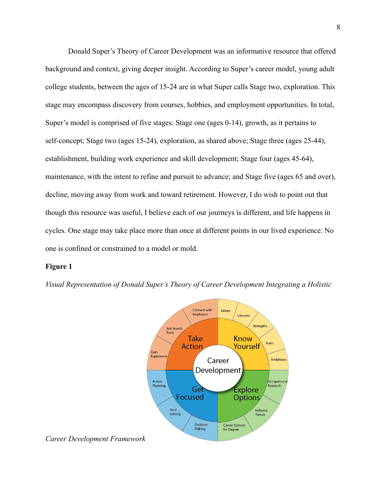Donald Super's Theory of Career Development was an informative resource that offered background and context, giving deeper insight. According to Super's career model, young adult college students, between the ages of 15-24 are in what Super calls Stage two, exploration. This stage may encompass discovery from courses, hobbies, and employment opportunities. In total, Super's model is comprised of five stages: Stage one (ages 0-14), growth, as it pertains to self-concept; Stage two (ages 15-24), exploration, as shared above; Stage three (ages 25-44), establishment, building work experience and skill development; Stage four (ages 45-64), maintenance, with the intent to refine and pursuit to advance; and Stage five (ages 65 and over), decline, moving away from work and toward retirement. However, I do wish to point out that though this resource was useful, I believe each of our journeys is different, and life happens in cycles. One stage may take place more than once at different points in our lived experience. No one is confined or constrained to a model or mold.

#### **Figure 1**





*Career Development Framework*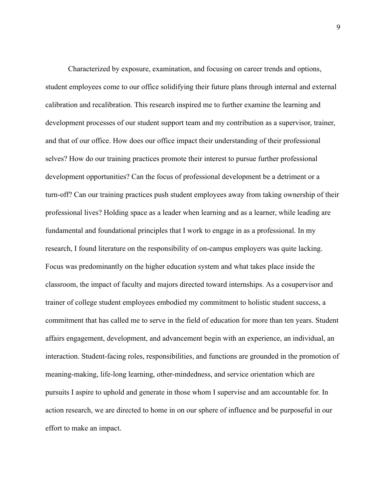Characterized by exposure, examination, and focusing on career trends and options, student employees come to our office solidifying their future plans through internal and external calibration and recalibration. This research inspired me to further examine the learning and development processes of our student support team and my contribution as a supervisor, trainer, and that of our office. How does our office impact their understanding of their professional selves? How do our training practices promote their interest to pursue further professional development opportunities? Can the focus of professional development be a detriment or a turn-off? Can our training practices push student employees away from taking ownership of their professional lives? Holding space as a leader when learning and as a learner, while leading are fundamental and foundational principles that I work to engage in as a professional. In my research, I found literature on the responsibility of on-campus employers was quite lacking. Focus was predominantly on the higher education system and what takes place inside the classroom, the impact of faculty and majors directed toward internships. As a cosupervisor and trainer of college student employees embodied my commitment to holistic student success, a commitment that has called me to serve in the field of education for more than ten years. Student affairs engagement, development, and advancement begin with an experience, an individual, an interaction. Student-facing roles, responsibilities, and functions are grounded in the promotion of meaning-making, life-long learning, other-mindedness, and service orientation which are pursuits I aspire to uphold and generate in those whom I supervise and am accountable for. In action research, we are directed to home in on our sphere of influence and be purposeful in our effort to make an impact.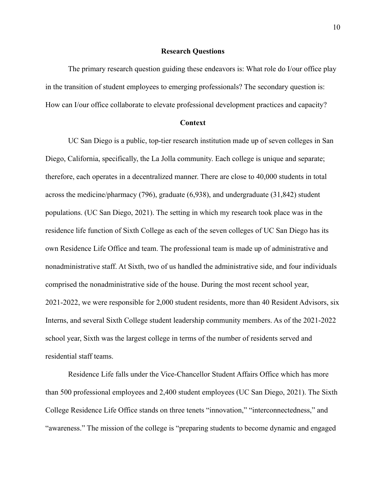#### **Research Questions**

<span id="page-10-0"></span>The primary research question guiding these endeavors is: What role do I/our office play in the transition of student employees to emerging professionals? The secondary question is: How can I/our office collaborate to elevate professional development practices and capacity?

#### **Context**

<span id="page-10-1"></span>UC San Diego is a public, top-tier research institution made up of seven colleges in San Diego, California, specifically, the La Jolla community. Each college is unique and separate; therefore, each operates in a decentralized manner. There are close to 40,000 students in total across the medicine/pharmacy (796), graduate (6,938), and undergraduate (31,842) student populations. (UC San Diego, 2021). The setting in which my research took place was in the residence life function of Sixth College as each of the seven colleges of UC San Diego has its own Residence Life Office and team. The professional team is made up of administrative and nonadministrative staff. At Sixth, two of us handled the administrative side, and four individuals comprised the nonadministrative side of the house. During the most recent school year, 2021-2022, we were responsible for 2,000 student residents, more than 40 Resident Advisors, six Interns, and several Sixth College student leadership community members. As of the 2021-2022 school year, Sixth was the largest college in terms of the number of residents served and residential staff teams.

Residence Life falls under the Vice-Chancellor Student Affairs Office which has more than 500 professional employees and 2,400 student employees (UC San Diego, 2021). The Sixth College Residence Life Office stands on three tenets "innovation," "interconnectedness," and "awareness." The mission of the college is "preparing students to become dynamic and engaged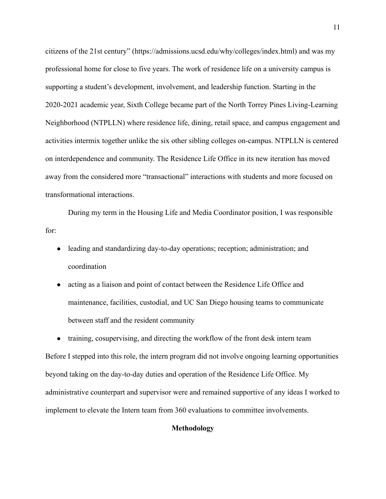citizens of the 21st century" (https://admissions.ucsd.edu/why/colleges/index.html) and was my professional home for close to five years. The work of residence life on a university campus is supporting a student's development, involvement, and leadership function. Starting in the 2020-2021 academic year, Sixth College became part of the North Torrey Pines Living-Learning Neighborhood (NTPLLN) where residence life, dining, retail space, and campus engagement and activities intermix together unlike the six other sibling colleges on-campus. NTPLLN is centered on interdependence and community. The Residence Life Office in its new iteration has moved away from the considered more "transactional" interactions with students and more focused on transformational interactions.

During my term in the Housing Life and Media Coordinator position, I was responsible for:

- leading and standardizing day-to-day operations; reception; administration; and coordination
- acting as a liaison and point of contact between the Residence Life Office and maintenance, facilities, custodial, and UC San Diego housing teams to communicate between staff and the resident community

<span id="page-11-0"></span>• training, cosupervising, and directing the workflow of the front desk intern team Before I stepped into this role, the intern program did not involve ongoing learning opportunities beyond taking on the day-to-day duties and operation of the Residence Life Office. My administrative counterpart and supervisor were and remained supportive of any ideas I worked to implement to elevate the Intern team from 360 evaluations to committee involvements.

### **Methodology**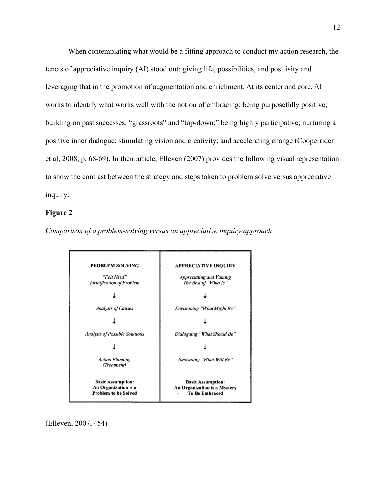When contemplating what would be a fitting approach to conduct my action research, the tenets of appreciative inquiry (AI) stood out: giving life, possibilities, and positivity and leveraging that in the promotion of augmentation and enrichment. At its center and core, AI works to identify what works well with the notion of embracing: being purposefully positive; building on past successes; "grassroots" and "top-down;" being highly participative; nurturing a positive inner dialogue; stimulating vision and creativity; and accelerating change (Cooperrider et al, 2008, p. 68-69). In their article, Elleven (2007) provides the following visual representation to show the contrast between the strategy and steps taken to problem solve versus appreciative inquiry:

#### **Figure 2**

*Comparison of a problem-solving versus an appreciative inquiry approach*



(Elleven, 2007, 454)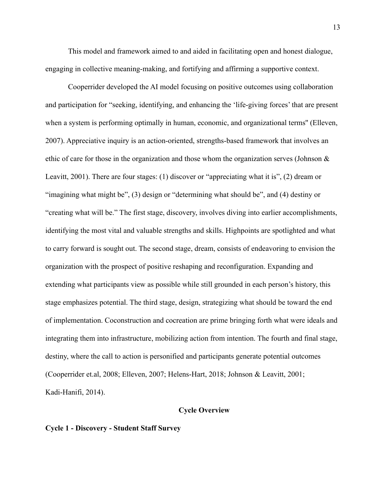This model and framework aimed to and aided in facilitating open and honest dialogue, engaging in collective meaning-making, and fortifying and affirming a supportive context.

Cooperrider developed the AI model focusing on positive outcomes using collaboration and participation for "seeking, identifying, and enhancing the 'life-giving forces' that are present when a system is performing optimally in human, economic, and organizational terms'' (Elleven, 2007). Appreciative inquiry is an action-oriented, strengths-based framework that involves an ethic of care for those in the organization and those whom the organization serves (Johnson & Leavitt, 2001). There are four stages: (1) discover or "appreciating what it is", (2) dream or "imagining what might be", (3) design or "determining what should be", and (4) destiny or "creating what will be." The first stage, discovery, involves diving into earlier accomplishments, identifying the most vital and valuable strengths and skills. Highpoints are spotlighted and what to carry forward is sought out. The second stage, dream, consists of endeavoring to envision the organization with the prospect of positive reshaping and reconfiguration. Expanding and extending what participants view as possible while still grounded in each person's history, this stage emphasizes potential. The third stage, design, strategizing what should be toward the end of implementation. Coconstruction and cocreation are prime bringing forth what were ideals and integrating them into infrastructure, mobilizing action from intention. The fourth and final stage, destiny, where the call to action is personified and participants generate potential outcomes (Cooperrider et.al, 2008; Elleven, 2007; Helens-Hart, 2018; Johnson & Leavitt, 2001; Kadi-Hanifi, 2014).

#### **Cycle Overview**

#### <span id="page-13-0"></span>**Cycle 1 - Discovery - Student Staff Survey**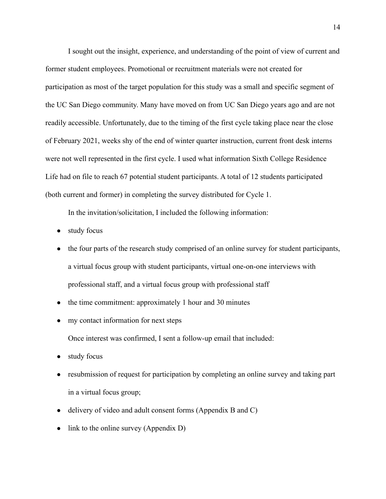I sought out the insight, experience, and understanding of the point of view of current and former student employees. Promotional or recruitment materials were not created for participation as most of the target population for this study was a small and specific segment of the UC San Diego community. Many have moved on from UC San Diego years ago and are not readily accessible. Unfortunately, due to the timing of the first cycle taking place near the close of February 2021, weeks shy of the end of winter quarter instruction, current front desk interns were not well represented in the first cycle. I used what information Sixth College Residence Life had on file to reach 67 potential student participants. A total of 12 students participated (both current and former) in completing the survey distributed for Cycle 1.

In the invitation/solicitation, I included the following information:

- study focus
- the four parts of the research study comprised of an online survey for student participants, a virtual focus group with student participants, virtual one-on-one interviews with professional staff, and a virtual focus group with professional staff
- the time commitment: approximately 1 hour and 30 minutes
- my contact information for next steps

Once interest was confirmed, I sent a follow-up email that included:

- study focus
- resubmission of request for participation by completing an online survey and taking part in a virtual focus group;
- delivery of video and adult consent forms (Appendix B and C)
- $\bullet$  link to the online survey (Appendix D)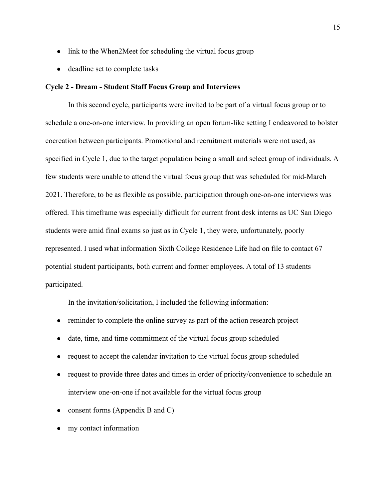- link to the When2Meet for scheduling the virtual focus group
- deadline set to complete tasks

#### <span id="page-15-0"></span>**Cycle 2 - Dream - Student Staff Focus Group and Interviews**

In this second cycle, participants were invited to be part of a virtual focus group or to schedule a one-on-one interview. In providing an open forum-like setting I endeavored to bolster cocreation between participants. Promotional and recruitment materials were not used, as specified in Cycle 1, due to the target population being a small and select group of individuals. A few students were unable to attend the virtual focus group that was scheduled for mid-March 2021. Therefore, to be as flexible as possible, participation through one-on-one interviews was offered. This timeframe was especially difficult for current front desk interns as UC San Diego students were amid final exams so just as in Cycle 1, they were, unfortunately, poorly represented. I used what information Sixth College Residence Life had on file to contact 67 potential student participants, both current and former employees. A total of 13 students participated.

In the invitation/solicitation, I included the following information:

- reminder to complete the online survey as part of the action research project
- date, time, and time commitment of the virtual focus group scheduled
- request to accept the calendar invitation to the virtual focus group scheduled
- request to provide three dates and times in order of priority/convenience to schedule an interview one-on-one if not available for the virtual focus group
- consent forms (Appendix B and C)
- my contact information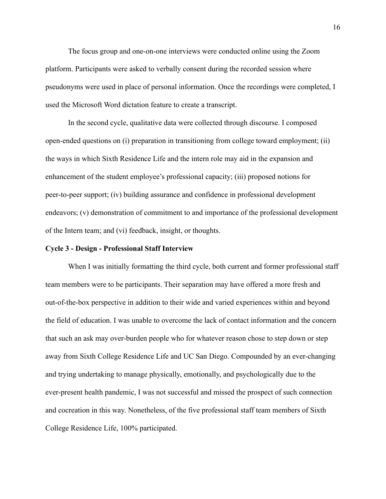The focus group and one-on-one interviews were conducted online using the Zoom platform. Participants were asked to verbally consent during the recorded session where pseudonyms were used in place of personal information. Once the recordings were completed, I used the Microsoft Word dictation feature to create a transcript.

In the second cycle, qualitative data were collected through discourse. I composed open-ended questions on (i) preparation in transitioning from college toward employment; (ii) the ways in which Sixth Residence Life and the intern role may aid in the expansion and enhancement of the student employee's professional capacity; (iii) proposed notions for peer-to-peer support; (iv) building assurance and confidence in professional development endeavors; (v) demonstration of commitment to and importance of the professional development of the Intern team; and (vi) feedback, insight, or thoughts.

#### <span id="page-16-0"></span>**Cycle 3 - Design - Professional Staff Interview**

When I was initially formatting the third cycle, both current and former professional staff team members were to be participants. Their separation may have offered a more fresh and out-of-the-box perspective in addition to their wide and varied experiences within and beyond the field of education. I was unable to overcome the lack of contact information and the concern that such an ask may over-burden people who for whatever reason chose to step down or step away from Sixth College Residence Life and UC San Diego. Compounded by an ever-changing and trying undertaking to manage physically, emotionally, and psychologically due to the ever-present health pandemic, I was not successful and missed the prospect of such connection and cocreation in this way. Nonetheless, of the five professional staff team members of Sixth College Residence Life, 100% participated.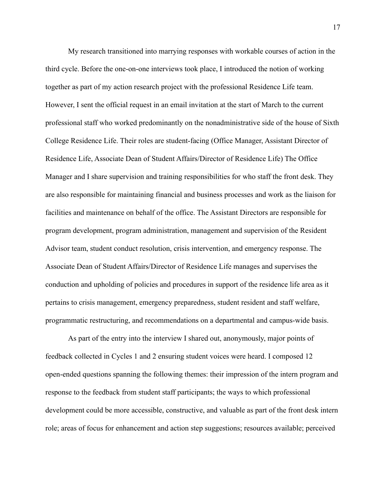My research transitioned into marrying responses with workable courses of action in the third cycle. Before the one-on-one interviews took place, I introduced the notion of working together as part of my action research project with the professional Residence Life team. However, I sent the official request in an email invitation at the start of March to the current professional staff who worked predominantly on the nonadministrative side of the house of Sixth College Residence Life. Their roles are student-facing (Office Manager, Assistant Director of Residence Life, Associate Dean of Student Affairs/Director of Residence Life) The Office Manager and I share supervision and training responsibilities for who staff the front desk. They are also responsible for maintaining financial and business processes and work as the liaison for facilities and maintenance on behalf of the office. The Assistant Directors are responsible for program development, program administration, management and supervision of the Resident Advisor team, student conduct resolution, crisis intervention, and emergency response. The Associate Dean of Student Affairs/Director of Residence Life manages and supervises the conduction and upholding of policies and procedures in support of the residence life area as it pertains to crisis management, emergency preparedness, student resident and staff welfare, programmatic restructuring, and recommendations on a departmental and campus-wide basis.

As part of the entry into the interview I shared out, anonymously, major points of feedback collected in Cycles 1 and 2 ensuring student voices were heard. I composed 12 open-ended questions spanning the following themes: their impression of the intern program and response to the feedback from student staff participants; the ways to which professional development could be more accessible, constructive, and valuable as part of the front desk intern role; areas of focus for enhancement and action step suggestions; resources available; perceived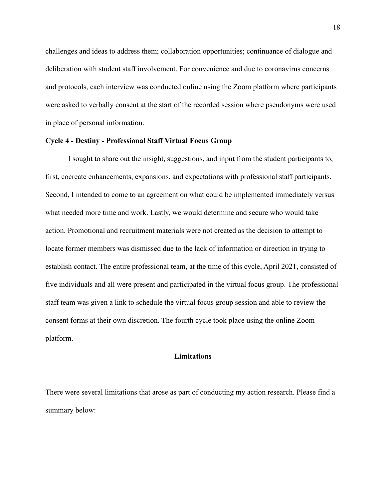challenges and ideas to address them; collaboration opportunities; continuance of dialogue and deliberation with student staff involvement. For convenience and due to coronavirus concerns and protocols, each interview was conducted online using the Zoom platform where participants were asked to verbally consent at the start of the recorded session where pseudonyms were used in place of personal information.

#### <span id="page-18-0"></span>**Cycle 4 - Destiny - Professional Staff Virtual Focus Group**

I sought to share out the insight, suggestions, and input from the student participants to, first, cocreate enhancements, expansions, and expectations with professional staff participants. Second, I intended to come to an agreement on what could be implemented immediately versus what needed more time and work. Lastly, we would determine and secure who would take action. Promotional and recruitment materials were not created as the decision to attempt to locate former members was dismissed due to the lack of information or direction in trying to establish contact. The entire professional team, at the time of this cycle, April 2021, consisted of five individuals and all were present and participated in the virtual focus group. The professional staff team was given a link to schedule the virtual focus group session and able to review the consent forms at their own discretion. The fourth cycle took place using the online Zoom platform.

#### **Limitations**

<span id="page-18-1"></span>There were several limitations that arose as part of conducting my action research. Please find a summary below: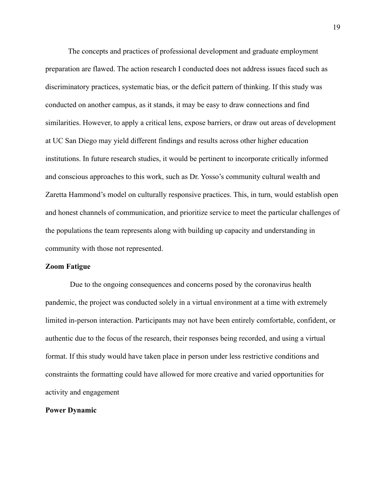The concepts and practices of professional development and graduate employment preparation are flawed. The action research I conducted does not address issues faced such as discriminatory practices, systematic bias, or the deficit pattern of thinking. If this study was conducted on another campus, as it stands, it may be easy to draw connections and find similarities. However, to apply a critical lens, expose barriers, or draw out areas of development at UC San Diego may yield different findings and results across other higher education institutions. In future research studies, it would be pertinent to incorporate critically informed and conscious approaches to this work, such as Dr. Yosso's community cultural wealth and Zaretta Hammond's model on culturally responsive practices. This, in turn, would establish open and honest channels of communication, and prioritize service to meet the particular challenges of the populations the team represents along with building up capacity and understanding in community with those not represented.

#### **Zoom Fatigue**

Due to the ongoing consequences and concerns posed by the coronavirus health pandemic, the project was conducted solely in a virtual environment at a time with extremely limited in-person interaction. Participants may not have been entirely comfortable, confident, or authentic due to the focus of the research, their responses being recorded, and using a virtual format. If this study would have taken place in person under less restrictive conditions and constraints the formatting could have allowed for more creative and varied opportunities for activity and engagement

#### **Power Dynamic**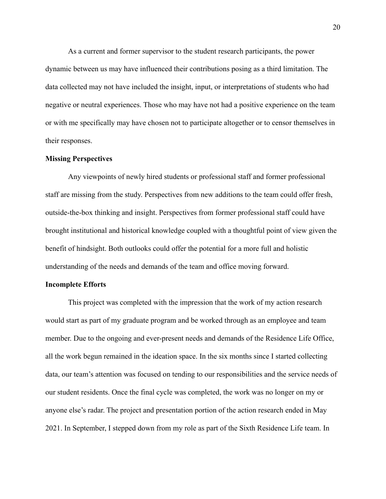As a current and former supervisor to the student research participants, the power dynamic between us may have influenced their contributions posing as a third limitation. The data collected may not have included the insight, input, or interpretations of students who had negative or neutral experiences. Those who may have not had a positive experience on the team or with me specifically may have chosen not to participate altogether or to censor themselves in their responses.

#### **Missing Perspectives**

Any viewpoints of newly hired students or professional staff and former professional staff are missing from the study. Perspectives from new additions to the team could offer fresh, outside-the-box thinking and insight. Perspectives from former professional staff could have brought institutional and historical knowledge coupled with a thoughtful point of view given the benefit of hindsight. Both outlooks could offer the potential for a more full and holistic understanding of the needs and demands of the team and office moving forward.

#### **Incomplete Efforts**

This project was completed with the impression that the work of my action research would start as part of my graduate program and be worked through as an employee and team member. Due to the ongoing and ever-present needs and demands of the Residence Life Office, all the work begun remained in the ideation space. In the six months since I started collecting data, our team's attention was focused on tending to our responsibilities and the service needs of our student residents. Once the final cycle was completed, the work was no longer on my or anyone else's radar. The project and presentation portion of the action research ended in May 2021. In September, I stepped down from my role as part of the Sixth Residence Life team. In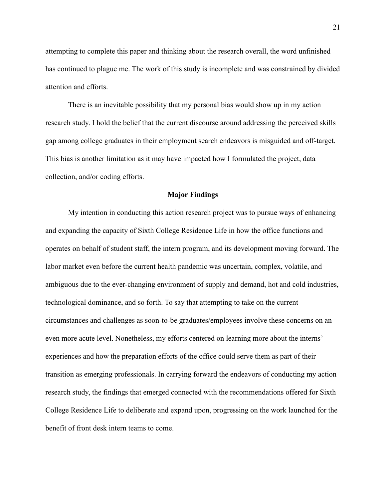attempting to complete this paper and thinking about the research overall, the word unfinished has continued to plague me. The work of this study is incomplete and was constrained by divided attention and efforts.

There is an inevitable possibility that my personal bias would show up in my action research study. I hold the belief that the current discourse around addressing the perceived skills gap among college graduates in their employment search endeavors is misguided and off-target. This bias is another limitation as it may have impacted how I formulated the project, data collection, and/or coding efforts.

#### **Major Findings**

<span id="page-21-0"></span>My intention in conducting this action research project was to pursue ways of enhancing and expanding the capacity of Sixth College Residence Life in how the office functions and operates on behalf of student staff, the intern program, and its development moving forward. The labor market even before the current health pandemic was uncertain, complex, volatile, and ambiguous due to the ever-changing environment of supply and demand, hot and cold industries, technological dominance, and so forth. To say that attempting to take on the current circumstances and challenges as soon-to-be graduates/employees involve these concerns on an even more acute level. Nonetheless, my efforts centered on learning more about the interns' experiences and how the preparation efforts of the office could serve them as part of their transition as emerging professionals. In carrying forward the endeavors of conducting my action research study, the findings that emerged connected with the recommendations offered for Sixth College Residence Life to deliberate and expand upon, progressing on the work launched for the benefit of front desk intern teams to come.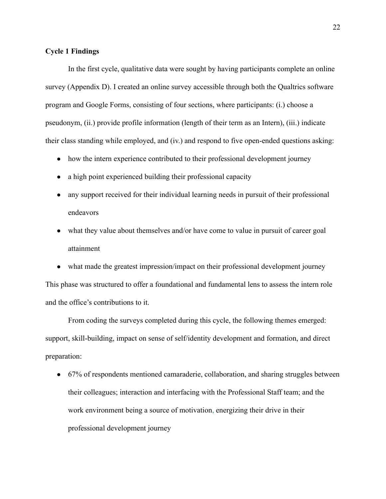#### **Cycle 1 Findings**

In the first cycle, qualitative data were sought by having participants complete an online survey (Appendix D). I created an online survey accessible through both the Qualtrics software program and Google Forms, consisting of four sections, where participants: (i.) choose a pseudonym, (ii.) provide profile information (length of their term as an Intern), (iii.) indicate their class standing while employed, and (iv.) and respond to five open-ended questions asking:

- how the intern experience contributed to their professional development journey
- a high point experienced building their professional capacity
- any support received for their individual learning needs in pursuit of their professional endeavors
- what they value about themselves and/or have come to value in pursuit of career goal attainment
- what made the greatest impression/impact on their professional development journey

This phase was structured to offer a foundational and fundamental lens to assess the intern role and the office's contributions to it.

From coding the surveys completed during this cycle, the following themes emerged: support, skill-building, impact on sense of self/identity development and formation, and direct preparation:

• 67% of respondents mentioned camaraderie, collaboration, and sharing struggles between their colleagues; interaction and interfacing with the Professional Staff team; and the work environment being a source of motivation, energizing their drive in their professional development journey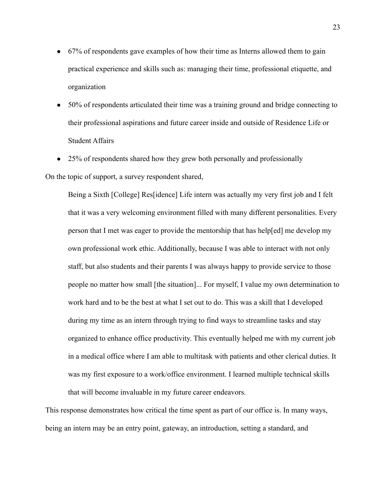- 67% of respondents gave examples of how their time as Interns allowed them to gain practical experience and skills such as: managing their time, professional etiquette, and organization
- 50% of respondents articulated their time was a training ground and bridge connecting to their professional aspirations and future career inside and outside of Residence Life or Student Affairs
- 25% of respondents shared how they grew both personally and professionally

On the topic of support, a survey respondent shared,

Being a Sixth [College] Res[idence] Life intern was actually my very first job and I felt that it was a very welcoming environment filled with many different personalities. Every person that I met was eager to provide the mentorship that has help[ed] me develop my own professional work ethic. Additionally, because I was able to interact with not only staff, but also students and their parents I was always happy to provide service to those people no matter how small [the situation]... For myself, I value my own determination to work hard and to be the best at what I set out to do. This was a skill that I developed during my time as an intern through trying to find ways to streamline tasks and stay organized to enhance office productivity. This eventually helped me with my current job in a medical office where I am able to multitask with patients and other clerical duties. It was my first exposure to a work/office environment. I learned multiple technical skills that will become invaluable in my future career endeavors.

This response demonstrates how critical the time spent as part of our office is. In many ways, being an intern may be an entry point, gateway, an introduction, setting a standard, and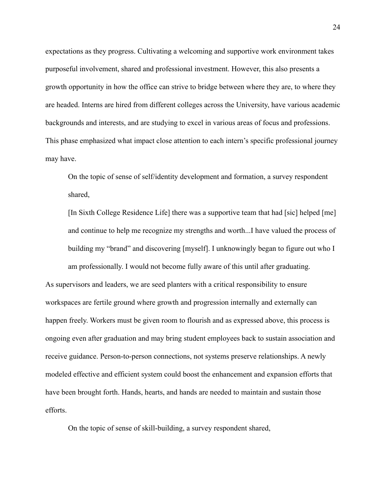expectations as they progress. Cultivating a welcoming and supportive work environment takes purposeful involvement, shared and professional investment. However, this also presents a growth opportunity in how the office can strive to bridge between where they are, to where they are headed. Interns are hired from different colleges across the University, have various academic backgrounds and interests, and are studying to excel in various areas of focus and professions. This phase emphasized what impact close attention to each intern's specific professional journey may have.

On the topic of sense of self/identity development and formation, a survey respondent shared,

[In Sixth College Residence Life] there was a supportive team that had [sic] helped [me] and continue to help me recognize my strengths and worth...I have valued the process of building my "brand" and discovering [myself]. I unknowingly began to figure out who I am professionally. I would not become fully aware of this until after graduating.

As supervisors and leaders, we are seed planters with a critical responsibility to ensure workspaces are fertile ground where growth and progression internally and externally can happen freely. Workers must be given room to flourish and as expressed above, this process is ongoing even after graduation and may bring student employees back to sustain association and receive guidance. Person-to-person connections, not systems preserve relationships. A newly modeled effective and efficient system could boost the enhancement and expansion efforts that have been brought forth. Hands, hearts, and hands are needed to maintain and sustain those efforts.

On the topic of sense of skill-building, a survey respondent shared,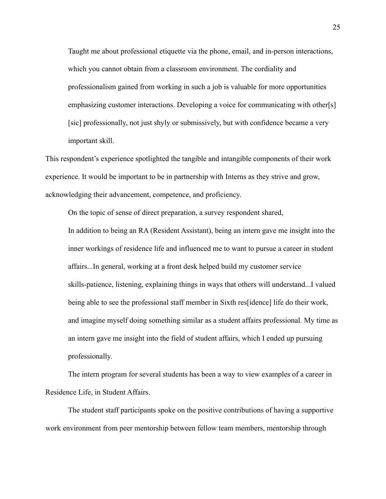Taught me about professional etiquette via the phone, email, and in-person interactions, which you cannot obtain from a classroom environment. The cordiality and professionalism gained from working in such a job is valuable for more opportunities emphasizing customer interactions. Developing a voice for communicating with other[s] [sic] professionally, not just shyly or submissively, but with confidence became a very important skill.

This respondent's experience spotlighted the tangible and intangible components of their work experience. It would be important to be in partnership with Interns as they strive and grow, acknowledging their advancement, competence, and proficiency.

On the topic of sense of direct preparation, a survey respondent shared, In addition to being an RA (Resident Assistant), being an intern gave me insight into the inner workings of residence life and influenced me to want to pursue a career in student affairs...In general, working at a front desk helped build my customer service skills-patience, listening, explaining things in ways that others will understand...I valued being able to see the professional staff member in Sixth res[idence] life do their work, and imagine myself doing something similar as a student affairs professional. My time as an intern gave me insight into the field of student affairs, which I ended up pursuing professionally.

The intern program for several students has been a way to view examples of a career in Residence Life, in Student Affairs.

The student staff participants spoke on the positive contributions of having a supportive work environment from peer mentorship between fellow team members, mentorship through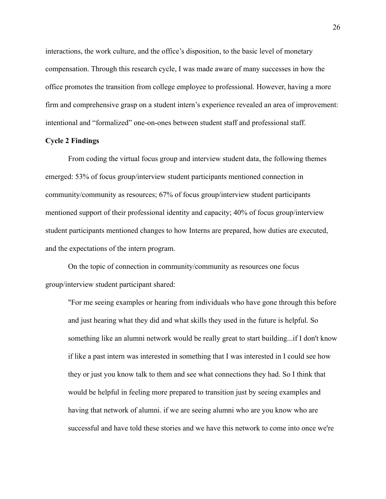interactions, the work culture, and the office's disposition, to the basic level of monetary compensation. Through this research cycle, I was made aware of many successes in how the office promotes the transition from college employee to professional. However, having a more firm and comprehensive grasp on a student intern's experience revealed an area of improvement: intentional and "formalized" one-on-ones between student staff and professional staff.

#### **Cycle 2 Findings**

From coding the virtual focus group and interview student data, the following themes emerged: 53% of focus group/interview student participants mentioned connection in community/community as resources; 67% of focus group/interview student participants mentioned support of their professional identity and capacity; 40% of focus group/interview student participants mentioned changes to how Interns are prepared, how duties are executed, and the expectations of the intern program.

On the topic of connection in community/community as resources one focus group/interview student participant shared:

"For me seeing examples or hearing from individuals who have gone through this before and just hearing what they did and what skills they used in the future is helpful. So something like an alumni network would be really great to start building...if I don't know if like a past intern was interested in something that I was interested in I could see how they or just you know talk to them and see what connections they had. So I think that would be helpful in feeling more prepared to transition just by seeing examples and having that network of alumni. if we are seeing alumni who are you know who are successful and have told these stories and we have this network to come into once we're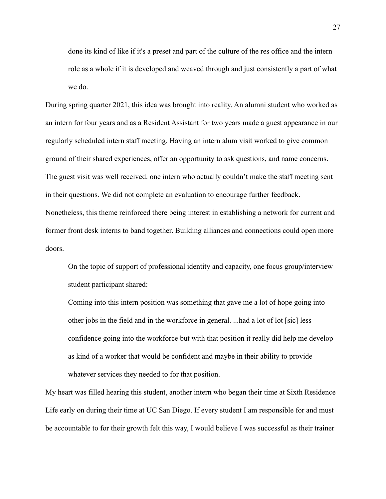done its kind of like if it's a preset and part of the culture of the res office and the intern role as a whole if it is developed and weaved through and just consistently a part of what we do.

During spring quarter 2021, this idea was brought into reality. An alumni student who worked as an intern for four years and as a Resident Assistant for two years made a guest appearance in our regularly scheduled intern staff meeting. Having an intern alum visit worked to give common ground of their shared experiences, offer an opportunity to ask questions, and name concerns. The guest visit was well received. one intern who actually couldn't make the staff meeting sent in their questions. We did not complete an evaluation to encourage further feedback. Nonetheless, this theme reinforced there being interest in establishing a network for current and former front desk interns to band together. Building alliances and connections could open more doors.

On the topic of support of professional identity and capacity, one focus group/interview student participant shared:

Coming into this intern position was something that gave me a lot of hope going into other jobs in the field and in the workforce in general. ...had a lot of lot [sic] less confidence going into the workforce but with that position it really did help me develop as kind of a worker that would be confident and maybe in their ability to provide whatever services they needed to for that position.

My heart was filled hearing this student, another intern who began their time at Sixth Residence Life early on during their time at UC San Diego. If every student I am responsible for and must be accountable to for their growth felt this way, I would believe I was successful as their trainer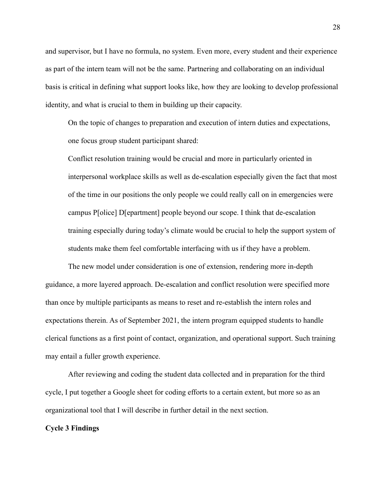and supervisor, but I have no formula, no system. Even more, every student and their experience as part of the intern team will not be the same. Partnering and collaborating on an individual basis is critical in defining what support looks like, how they are looking to develop professional identity, and what is crucial to them in building up their capacity.

On the topic of changes to preparation and execution of intern duties and expectations, one focus group student participant shared:

Conflict resolution training would be crucial and more in particularly oriented in interpersonal workplace skills as well as de-escalation especially given the fact that most of the time in our positions the only people we could really call on in emergencies were campus P[olice] D[epartment] people beyond our scope. I think that de-escalation training especially during today's climate would be crucial to help the support system of students make them feel comfortable interfacing with us if they have a problem.

The new model under consideration is one of extension, rendering more in-depth guidance, a more layered approach. De-escalation and conflict resolution were specified more than once by multiple participants as means to reset and re-establish the intern roles and expectations therein. As of September 2021, the intern program equipped students to handle clerical functions as a first point of contact, organization, and operational support. Such training may entail a fuller growth experience.

After reviewing and coding the student data collected and in preparation for the third cycle, I put together a Google sheet for coding efforts to a certain extent, but more so as an organizational tool that I will describe in further detail in the next section.

#### **Cycle 3 Findings**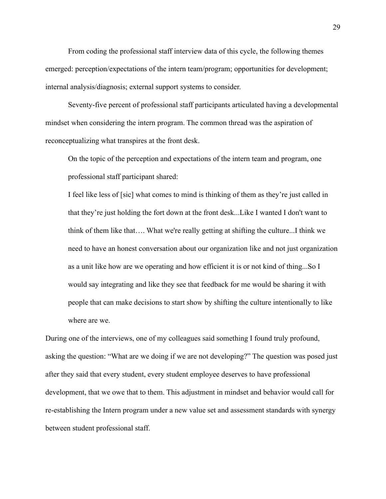From coding the professional staff interview data of this cycle, the following themes emerged: perception/expectations of the intern team/program; opportunities for development; internal analysis/diagnosis; external support systems to consider.

Seventy-five percent of professional staff participants articulated having a developmental mindset when considering the intern program. The common thread was the aspiration of reconceptualizing what transpires at the front desk.

On the topic of the perception and expectations of the intern team and program, one professional staff participant shared:

I feel like less of [sic] what comes to mind is thinking of them as they're just called in that they're just holding the fort down at the front desk...Like I wanted I don't want to think of them like that…. What we're really getting at shifting the culture...I think we need to have an honest conversation about our organization like and not just organization as a unit like how are we operating and how efficient it is or not kind of thing...So I would say integrating and like they see that feedback for me would be sharing it with people that can make decisions to start show by shifting the culture intentionally to like where are we.

During one of the interviews, one of my colleagues said something I found truly profound, asking the question: "What are we doing if we are not developing?" The question was posed just after they said that every student, every student employee deserves to have professional development, that we owe that to them. This adjustment in mindset and behavior would call for re-establishing the Intern program under a new value set and assessment standards with synergy between student professional staff.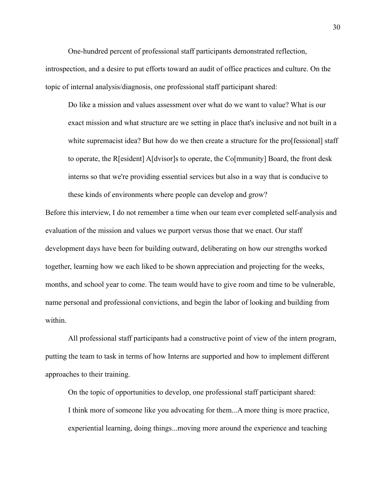One-hundred percent of professional staff participants demonstrated reflection, introspection, and a desire to put efforts toward an audit of office practices and culture. On the topic of internal analysis/diagnosis, one professional staff participant shared:

Do like a mission and values assessment over what do we want to value? What is our exact mission and what structure are we setting in place that's inclusive and not built in a white supremacist idea? But how do we then create a structure for the pro[fessional] staff to operate, the R[esident] A[dvisor]s to operate, the Co[mmunity] Board, the front desk interns so that we're providing essential services but also in a way that is conducive to these kinds of environments where people can develop and grow?

Before this interview, I do not remember a time when our team ever completed self-analysis and evaluation of the mission and values we purport versus those that we enact. Our staff development days have been for building outward, deliberating on how our strengths worked together, learning how we each liked to be shown appreciation and projecting for the weeks, months, and school year to come. The team would have to give room and time to be vulnerable, name personal and professional convictions, and begin the labor of looking and building from within.

All professional staff participants had a constructive point of view of the intern program, putting the team to task in terms of how Interns are supported and how to implement different approaches to their training.

On the topic of opportunities to develop, one professional staff participant shared: I think more of someone like you advocating for them...A more thing is more practice, experiential learning, doing things...moving more around the experience and teaching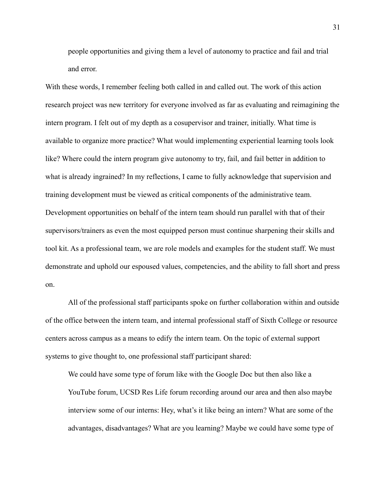people opportunities and giving them a level of autonomy to practice and fail and trial and error.

With these words, I remember feeling both called in and called out. The work of this action research project was new territory for everyone involved as far as evaluating and reimagining the intern program. I felt out of my depth as a cosupervisor and trainer, initially. What time is available to organize more practice? What would implementing experiential learning tools look like? Where could the intern program give autonomy to try, fail, and fail better in addition to what is already ingrained? In my reflections, I came to fully acknowledge that supervision and training development must be viewed as critical components of the administrative team. Development opportunities on behalf of the intern team should run parallel with that of their supervisors/trainers as even the most equipped person must continue sharpening their skills and tool kit. As a professional team, we are role models and examples for the student staff. We must demonstrate and uphold our espoused values, competencies, and the ability to fall short and press on.

All of the professional staff participants spoke on further collaboration within and outside of the office between the intern team, and internal professional staff of Sixth College or resource centers across campus as a means to edify the intern team. On the topic of external support systems to give thought to, one professional staff participant shared:

We could have some type of forum like with the Google Doc but then also like a YouTube forum, UCSD Res Life forum recording around our area and then also maybe interview some of our interns: Hey, what's it like being an intern? What are some of the advantages, disadvantages? What are you learning? Maybe we could have some type of

31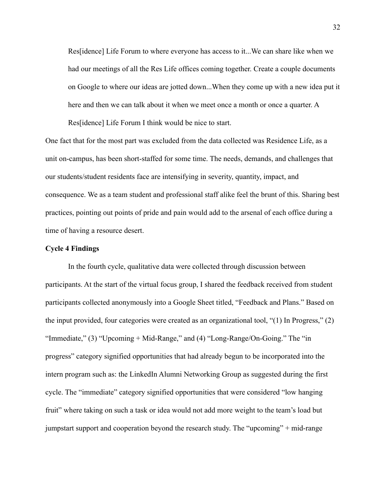Res[idence] Life Forum to where everyone has access to it...We can share like when we had our meetings of all the Res Life offices coming together. Create a couple documents on Google to where our ideas are jotted down...When they come up with a new idea put it here and then we can talk about it when we meet once a month or once a quarter. A Res[idence] Life Forum I think would be nice to start.

One fact that for the most part was excluded from the data collected was Residence Life, as a unit on-campus, has been short-staffed for some time. The needs, demands, and challenges that our students/student residents face are intensifying in severity, quantity, impact, and consequence. We as a team student and professional staff alike feel the brunt of this. Sharing best practices, pointing out points of pride and pain would add to the arsenal of each office during a time of having a resource desert.

#### **Cycle 4 Findings**

In the fourth cycle, qualitative data were collected through discussion between participants. At the start of the virtual focus group, I shared the feedback received from student participants collected anonymously into a Google Sheet titled, "Feedback and Plans." Based on the input provided, four categories were created as an organizational tool, "(1) In Progress," (2) "Immediate," (3) "Upcoming + Mid-Range," and (4) "Long-Range/On-Going." The "in progress" category signified opportunities that had already begun to be incorporated into the intern program such as: the LinkedIn Alumni Networking Group as suggested during the first cycle. The "immediate" category signified opportunities that were considered "low hanging fruit" where taking on such a task or idea would not add more weight to the team's load but jumpstart support and cooperation beyond the research study. The "upcoming" + mid-range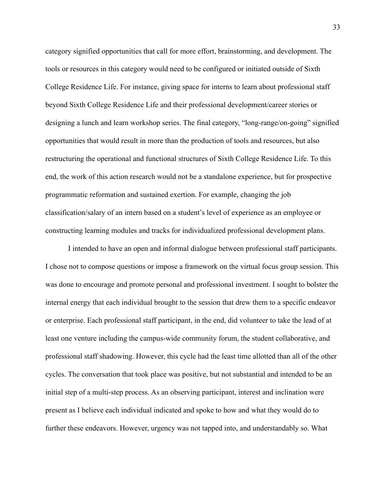category signified opportunities that call for more effort, brainstorming, and development. The tools or resources in this category would need to be configured or initiated outside of Sixth College Residence Life. For instance, giving space for interns to learn about professional staff beyond Sixth College Residence Life and their professional development/career stories or designing a lunch and learn workshop series. The final category, "long-range/on-going" signified opportunities that would result in more than the production of tools and resources, but also restructuring the operational and functional structures of Sixth College Residence Life. To this end, the work of this action research would not be a standalone experience, but for prospective programmatic reformation and sustained exertion. For example, changing the job classification/salary of an intern based on a student's level of experience as an employee or constructing learning modules and tracks for individualized professional development plans.

I intended to have an open and informal dialogue between professional staff participants. I chose not to compose questions or impose a framework on the virtual focus group session. This was done to encourage and promote personal and professional investment. I sought to bolster the internal energy that each individual brought to the session that drew them to a specific endeavor or enterprise. Each professional staff participant, in the end, did volunteer to take the lead of at least one venture including the campus-wide community forum, the student collaborative, and professional staff shadowing. However, this cycle had the least time allotted than all of the other cycles. The conversation that took place was positive, but not substantial and intended to be an initial step of a multi-step process. As an observing participant, interest and inclination were present as I believe each individual indicated and spoke to how and what they would do to further these endeavors. However, urgency was not tapped into, and understandably so. What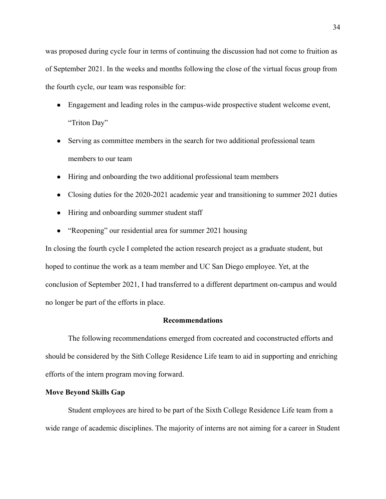was proposed during cycle four in terms of continuing the discussion had not come to fruition as of September 2021. In the weeks and months following the close of the virtual focus group from the fourth cycle, our team was responsible for:

- Engagement and leading roles in the campus-wide prospective student welcome event, "Triton Day"
- Serving as committee members in the search for two additional professional team members to our team
- Hiring and onboarding the two additional professional team members
- Closing duties for the 2020-2021 academic year and transitioning to summer 2021 duties
- Hiring and onboarding summer student staff
- "Reopening" our residential area for summer 2021 housing

In closing the fourth cycle I completed the action research project as a graduate student, but hoped to continue the work as a team member and UC San Diego employee. Yet, at the conclusion of September 2021, I had transferred to a different department on-campus and would no longer be part of the efforts in place.

#### **Recommendations**

The following recommendations emerged from cocreated and coconstructed efforts and should be considered by the Sith College Residence Life team to aid in supporting and enriching efforts of the intern program moving forward.

#### **Move Beyond Skills Gap**

Student employees are hired to be part of the Sixth College Residence Life team from a wide range of academic disciplines. The majority of interns are not aiming for a career in Student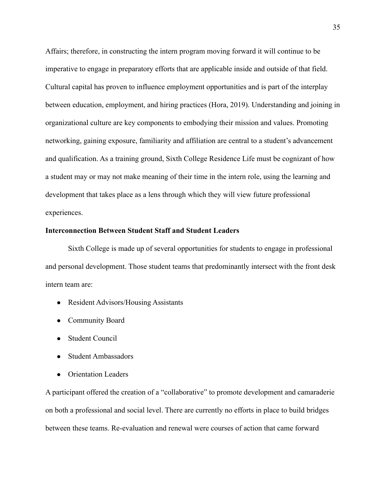Affairs; therefore, in constructing the intern program moving forward it will continue to be imperative to engage in preparatory efforts that are applicable inside and outside of that field. Cultural capital has proven to influence employment opportunities and is part of the interplay between education, employment, and hiring practices (Hora, 2019). Understanding and joining in organizational culture are key components to embodying their mission and values. Promoting networking, gaining exposure, familiarity and affiliation are central to a student's advancement and qualification. As a training ground, Sixth College Residence Life must be cognizant of how a student may or may not make meaning of their time in the intern role, using the learning and development that takes place as a lens through which they will view future professional experiences.

#### **Interconnection Between Student Staff and Student Leaders**

Sixth College is made up of several opportunities for students to engage in professional and personal development. Those student teams that predominantly intersect with the front desk intern team are:

- Resident Advisors/Housing Assistants
- Community Board
- Student Council
- Student Ambassadors
- Orientation Leaders

A participant offered the creation of a "collaborative" to promote development and camaraderie on both a professional and social level. There are currently no efforts in place to build bridges between these teams. Re-evaluation and renewal were courses of action that came forward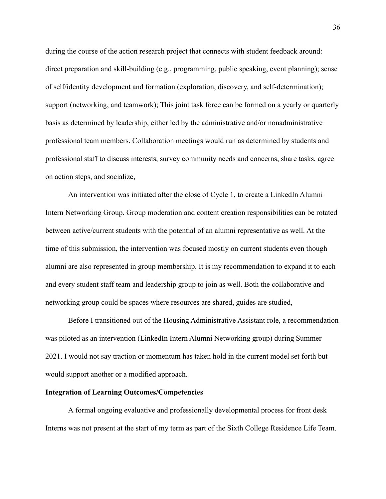during the course of the action research project that connects with student feedback around: direct preparation and skill-building (e.g., programming, public speaking, event planning); sense of self/identity development and formation (exploration, discovery, and self-determination); support (networking, and teamwork); This joint task force can be formed on a yearly or quarterly basis as determined by leadership, either led by the administrative and/or nonadministrative professional team members. Collaboration meetings would run as determined by students and professional staff to discuss interests, survey community needs and concerns, share tasks, agree on action steps, and socialize,

An intervention was initiated after the close of Cycle 1, to create a LinkedIn Alumni Intern Networking Group. Group moderation and content creation responsibilities can be rotated between active/current students with the potential of an alumni representative as well. At the time of this submission, the intervention was focused mostly on current students even though alumni are also represented in group membership. It is my recommendation to expand it to each and every student staff team and leadership group to join as well. Both the collaborative and networking group could be spaces where resources are shared, guides are studied,

Before I transitioned out of the Housing Administrative Assistant role, a recommendation was piloted as an intervention (LinkedIn Intern Alumni Networking group) during Summer 2021. I would not say traction or momentum has taken hold in the current model set forth but would support another or a modified approach.

#### **Integration of Learning Outcomes/Competencies**

A formal ongoing evaluative and professionally developmental process for front desk Interns was not present at the start of my term as part of the Sixth College Residence Life Team.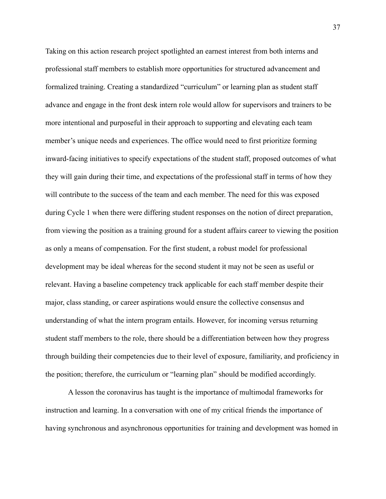Taking on this action research project spotlighted an earnest interest from both interns and professional staff members to establish more opportunities for structured advancement and formalized training. Creating a standardized "curriculum" or learning plan as student staff advance and engage in the front desk intern role would allow for supervisors and trainers to be more intentional and purposeful in their approach to supporting and elevating each team member's unique needs and experiences. The office would need to first prioritize forming inward-facing initiatives to specify expectations of the student staff, proposed outcomes of what they will gain during their time, and expectations of the professional staff in terms of how they will contribute to the success of the team and each member. The need for this was exposed during Cycle 1 when there were differing student responses on the notion of direct preparation, from viewing the position as a training ground for a student affairs career to viewing the position as only a means of compensation. For the first student, a robust model for professional development may be ideal whereas for the second student it may not be seen as useful or relevant. Having a baseline competency track applicable for each staff member despite their major, class standing, or career aspirations would ensure the collective consensus and understanding of what the intern program entails. However, for incoming versus returning student staff members to the role, there should be a differentiation between how they progress through building their competencies due to their level of exposure, familiarity, and proficiency in the position; therefore, the curriculum or "learning plan" should be modified accordingly.

A lesson the coronavirus has taught is the importance of multimodal frameworks for instruction and learning. In a conversation with one of my critical friends the importance of having synchronous and asynchronous opportunities for training and development was homed in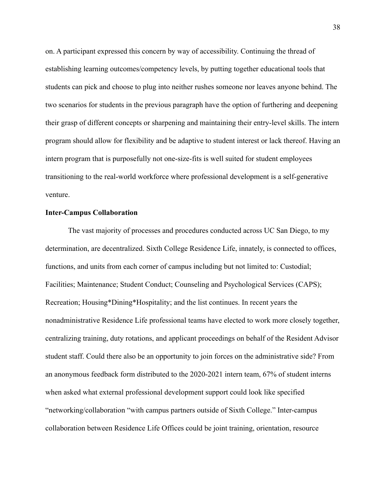on. A participant expressed this concern by way of accessibility. Continuing the thread of establishing learning outcomes/competency levels, by putting together educational tools that students can pick and choose to plug into neither rushes someone nor leaves anyone behind. The two scenarios for students in the previous paragraph have the option of furthering and deepening their grasp of different concepts or sharpening and maintaining their entry-level skills. The intern program should allow for flexibility and be adaptive to student interest or lack thereof. Having an intern program that is purposefully not one-size-fits is well suited for student employees transitioning to the real-world workforce where professional development is a self-generative venture.

#### **Inter-Campus Collaboration**

The vast majority of processes and procedures conducted across UC San Diego, to my determination, are decentralized. Sixth College Residence Life, innately, is connected to offices, functions, and units from each corner of campus including but not limited to: Custodial; Facilities; Maintenance; Student Conduct; Counseling and Psychological Services (CAPS); Recreation; Housing\*Dining\*Hospitality; and the list continues. In recent years the nonadministrative Residence Life professional teams have elected to work more closely together, centralizing training, duty rotations, and applicant proceedings on behalf of the Resident Advisor student staff. Could there also be an opportunity to join forces on the administrative side? From an anonymous feedback form distributed to the 2020-2021 intern team, 67% of student interns when asked what external professional development support could look like specified "networking/collaboration "with campus partners outside of Sixth College." Inter-campus collaboration between Residence Life Offices could be joint training, orientation, resource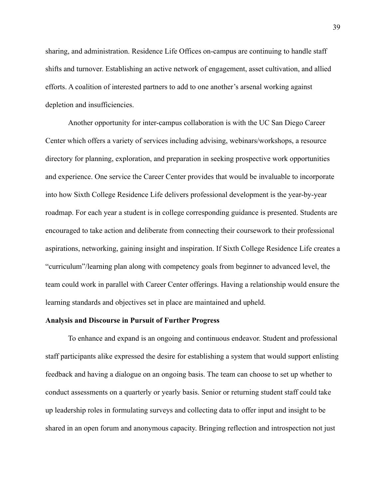sharing, and administration. Residence Life Offices on-campus are continuing to handle staff shifts and turnover. Establishing an active network of engagement, asset cultivation, and allied efforts. A coalition of interested partners to add to one another's arsenal working against depletion and insufficiencies.

Another opportunity for inter-campus collaboration is with the UC San Diego Career Center which offers a variety of services including advising, webinars/workshops, a resource directory for planning, exploration, and preparation in seeking prospective work opportunities and experience. One service the Career Center provides that would be invaluable to incorporate into how Sixth College Residence Life delivers professional development is the year-by-year roadmap. For each year a student is in college corresponding guidance is presented. Students are encouraged to take action and deliberate from connecting their coursework to their professional aspirations, networking, gaining insight and inspiration. If Sixth College Residence Life creates a "curriculum"/learning plan along with competency goals from beginner to advanced level, the team could work in parallel with Career Center offerings. Having a relationship would ensure the learning standards and objectives set in place are maintained and upheld.

#### **Analysis and Discourse in Pursuit of Further Progress**

To enhance and expand is an ongoing and continuous endeavor. Student and professional staff participants alike expressed the desire for establishing a system that would support enlisting feedback and having a dialogue on an ongoing basis. The team can choose to set up whether to conduct assessments on a quarterly or yearly basis. Senior or returning student staff could take up leadership roles in formulating surveys and collecting data to offer input and insight to be shared in an open forum and anonymous capacity. Bringing reflection and introspection not just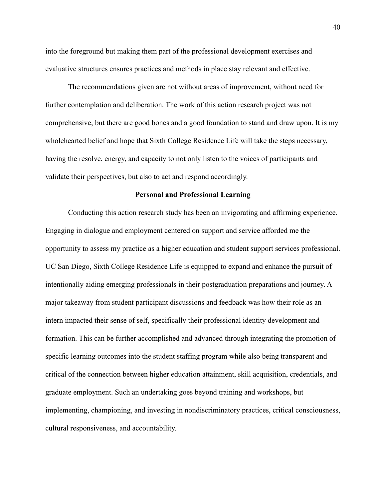into the foreground but making them part of the professional development exercises and evaluative structures ensures practices and methods in place stay relevant and effective.

The recommendations given are not without areas of improvement, without need for further contemplation and deliberation. The work of this action research project was not comprehensive, but there are good bones and a good foundation to stand and draw upon. It is my wholehearted belief and hope that Sixth College Residence Life will take the steps necessary, having the resolve, energy, and capacity to not only listen to the voices of participants and validate their perspectives, but also to act and respond accordingly.

#### **Personal and Professional Learning**

<span id="page-40-0"></span>Conducting this action research study has been an invigorating and affirming experience. Engaging in dialogue and employment centered on support and service afforded me the opportunity to assess my practice as a higher education and student support services professional. UC San Diego, Sixth College Residence Life is equipped to expand and enhance the pursuit of intentionally aiding emerging professionals in their postgraduation preparations and journey. A major takeaway from student participant discussions and feedback was how their role as an intern impacted their sense of self, specifically their professional identity development and formation. This can be further accomplished and advanced through integrating the promotion of specific learning outcomes into the student staffing program while also being transparent and critical of the connection between higher education attainment, skill acquisition, credentials, and graduate employment. Such an undertaking goes beyond training and workshops, but implementing, championing, and investing in nondiscriminatory practices, critical consciousness, cultural responsiveness, and accountability.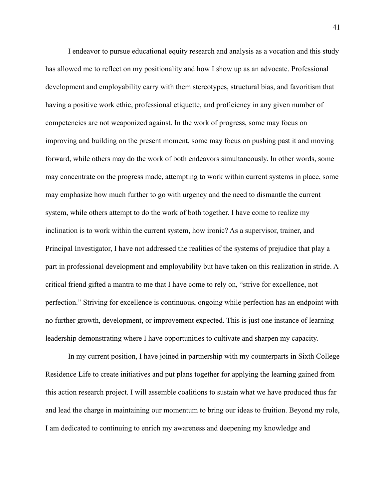I endeavor to pursue educational equity research and analysis as a vocation and this study has allowed me to reflect on my positionality and how I show up as an advocate. Professional development and employability carry with them stereotypes, structural bias, and favoritism that having a positive work ethic, professional etiquette, and proficiency in any given number of competencies are not weaponized against. In the work of progress, some may focus on improving and building on the present moment, some may focus on pushing past it and moving forward, while others may do the work of both endeavors simultaneously. In other words, some may concentrate on the progress made, attempting to work within current systems in place, some may emphasize how much further to go with urgency and the need to dismantle the current system, while others attempt to do the work of both together. I have come to realize my inclination is to work within the current system, how ironic? As a supervisor, trainer, and Principal Investigator, I have not addressed the realities of the systems of prejudice that play a part in professional development and employability but have taken on this realization in stride. A critical friend gifted a mantra to me that I have come to rely on, "strive for excellence, not perfection." Striving for excellence is continuous, ongoing while perfection has an endpoint with no further growth, development, or improvement expected. This is just one instance of learning leadership demonstrating where I have opportunities to cultivate and sharpen my capacity.

In my current position, I have joined in partnership with my counterparts in Sixth College Residence Life to create initiatives and put plans together for applying the learning gained from this action research project. I will assemble coalitions to sustain what we have produced thus far and lead the charge in maintaining our momentum to bring our ideas to fruition. Beyond my role, I am dedicated to continuing to enrich my awareness and deepening my knowledge and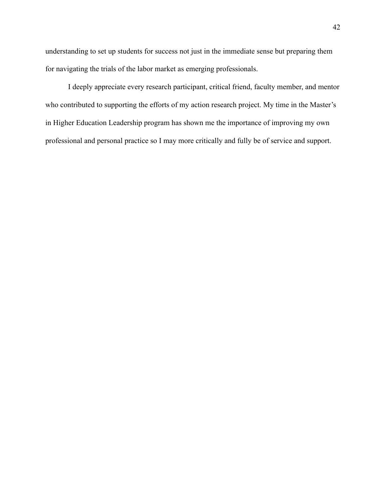understanding to set up students for success not just in the immediate sense but preparing them for navigating the trials of the labor market as emerging professionals.

I deeply appreciate every research participant, critical friend, faculty member, and mentor who contributed to supporting the efforts of my action research project. My time in the Master's in Higher Education Leadership program has shown me the importance of improving my own professional and personal practice so I may more critically and fully be of service and support.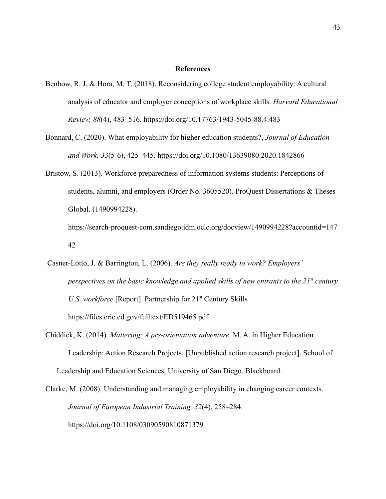#### **References**

- <span id="page-43-0"></span>Benbow, R. J. & Hora, M. T. (2018). Reconsidering college student employability: A cultural analysis of educator and employer conceptions of workplace skills. *Harvard Educational Review, 88*(4), 483–516. <https://doi.org/10.17763/1943-5045-88.4.483>
- Bonnard, C. (2020). What employability for higher education students?, *Journal of Education and Work, 33*(5-6), 425–445. <https://doi.org/10.1080/13639080.2020.1842866>
- Bristow, S. (2013). Workforce preparedness of information systems students: Perceptions of students, alumni, and employers (Order No. 3605520). ProQuest Dissertations & Theses Global. (1490994228).

[https://search-proquest-com.sandiego.idm.oclc.org/docview/1490994228?accountid=147](https://search-proquest-com.sandiego.idm.oclc.org/docview/1490994228?accountid=14742) [42](https://search-proquest-com.sandiego.idm.oclc.org/docview/1490994228?accountid=14742)

- Casner-Lotto, J. & Barrington, L. (2006). *Are they really ready to work? Employers' perspectives on the basic knowledge and applied skills of new entrants to the 21st century U.S. workforce* [Report]. Partnership for 21<sup>st</sup> Century Skills <https://files.eric.ed.gov/fulltext/ED519465.pdf>
- Chiddick, K. (2014). *Mattering: A pre-orientation adventure*. M. A. in Higher Education Leadership: Action Research Projects. [Unpublished action research project]. School of Leadership and Education Sciences, University of San Diego. Blackboard.

Clarke, M. (2008). Understanding and managing employability in changing career contexts. *Journal of European Industrial Training, 32*(4), 258–284. <https://doi.org/10.1108/03090590810871379>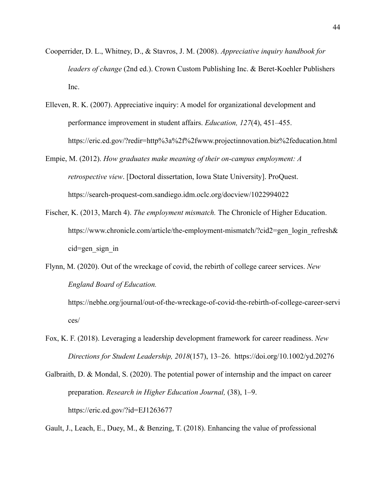- Cooperrider, D. L., Whitney, D., & Stavros, J. M. (2008). *Appreciative inquiry handbook for leaders of change* (2nd ed.). Crown Custom Publishing Inc. & Beret-Koehler Publishers Inc.
- Elleven, R. K. (2007). Appreciative inquiry: A model for organizational development and performance improvement in student affairs. *Education, 127*(4), 451–455. https://eric.ed.gov/?redir=http%3a%2f%2fwww.projectinnovation.biz%2feducation.html
- Empie, M. (2012). *How graduates make meaning of their on-campus employment: A retrospective view*. [Doctoral dissertation, Iowa State University]. ProQuest. <https://search-proquest-com.sandiego.idm.oclc.org/docview/1022994022>
- Fischer, K. (2013, March 4). *The employment mismatch.* The Chronicle of Higher Education. [https://www.chronicle.com/article/the-employment-mismatch/?cid2=gen\\_login\\_refresh&](https://www.chronicle.com/article/the-employment-mismatch/?cid2=gen_login_refresh&cid=gen_sign_in) [cid=gen\\_sign\\_in](https://www.chronicle.com/article/the-employment-mismatch/?cid2=gen_login_refresh&cid=gen_sign_in)
- Flynn, M. (2020). Out of the wreckage of covid, the rebirth of college career services. *New England Board of Education.*

[https://nebhe.org/journal/out-of-the-wreckage-of-covid-the-rebirth-of-college-career-servi](https://nebhe.org/journal/out-of-the-wreckage-of-covid-the-rebirth-of-college-career-services/) [ces/](https://nebhe.org/journal/out-of-the-wreckage-of-covid-the-rebirth-of-college-career-services/)

- Fox, K. F. (2018). Leveraging a leadership development framework for career readiness. *New Directions for Student Leadership, 2018*(157), 13–26. https://doi.org/10.1002/yd.20276
- Galbraith, D. & Mondal, S. (2020). The potential power of internship and the impact on career preparation. *Research in Higher Education Journal,* (38), 1–9. <https://eric.ed.gov/?id=EJ1263677>

Gault, J., Leach, E., Duey, M., & Benzing, T. (2018). Enhancing the value of professional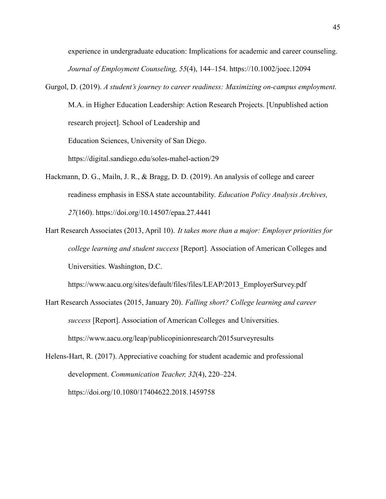experience in undergraduate education: Implications for academic and career counseling. *Journal of Employment Counseling, 55*(4), 144–154. [https://1](https://doi-org.sandiego.idm.oclc.org/10.1002/joec.12094)0.1002/joec.12094

Gurgol, D. (2019). *A student's journey to career readiness: Maximizing on-campus employment.* M.A. in Higher Education Leadership: Action Research Projects. [Unpublished action research project]. School of Leadership and Education Sciences, University of San Diego.

<https://digital.sandiego.edu/soles-mahel-action/29>

- Hackmann, D. G., Mailn, J. R., & Bragg, D. D. (2019). An analysis of college and career readiness emphasis in ESSA state accountability. *Education Policy Analysis Archives, 27*(160). <https://doi.org/10.14507/epaa.27.4441>
- Hart Research Associates (2013, April 10). *It takes more than a major: Employer priorities for college learning and student success* [Report]*.* Association of American Colleges and Universities. Washington, D.C.

[https://www.aacu.org/sites/default/files/files/LEAP/2013\\_EmployerSurvey.pdf](https://www.aacu.org/sites/default/files/files/LEAP/2013_EmployerSurvey.pdf)

Hart Research Associates (2015, January 20). *Falling short? College learning and career success* [Report]. Association of American Colleges and Universities. [https://www.aacu.org/leap/publicopinionresearch/2015surveyresults](https://www.aacu.org/leap/public%C2%ADopinion%C2%ADresearch/2015%C2%ADsurvey%C2%ADresults)

Helens-Hart, R. (2017). Appreciative coaching for student academic and professional development. *Communication Teacher, 32*(4), 220–224. <https://doi.org/10.1080/17404622.2018.1459758>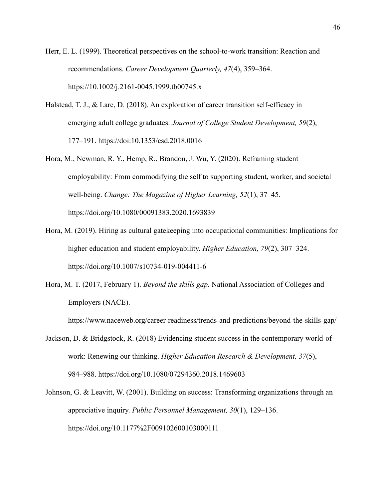Herr, E. L. (1999). Theoretical perspectives on the school-to-work transition: Reaction and recommendations. *Career Development Quarterly, 47*(4), 359–364. https://10.1002/j.2161-0045.1999.tb00745.x

- Halstead, T. J., & Lare, D. (2018). An exploration of career transition self-efficacy in emerging adult college graduates. *Journal of College Student Development, 59*(2), 177–191. https://doi:10.1353/csd.2018.0016
- Hora, M., Newman, R. Y., Hemp, R., Brandon, J. Wu, Y. (2020). Reframing student employability: From commodifying the self to supporting student, worker, and societal well-being. *Change: The Magazine of Higher Learning, 52*(1), 37–45. <https://doi.org/10.1080/00091383.2020.1693839>
- Hora, M. (2019). Hiring as cultural gatekeeping into occupational communities: Implications for higher education and student employability. *Higher Education, 79*(2), 307–324. [https://doi.org/10.1007/s10734-019-004411-6](https://doi.org/10/1007/s10734-019-004411-6)
- Hora, M. T. (2017, February 1). *Beyond the skills gap*. National Association of Colleges and Employers (NACE).

<https://www.naceweb.org/career-readiness/trends-and-predictions/beyond-the-skills-gap/>

- Jackson, D. & Bridgstock, R. (2018) Evidencing student success in the contemporary world-ofwork: Renewing our thinking. *Higher Education Research & Development, 37*(5), 984–988. <https://doi.org/10.1080/07294360.2018.1469603>
- Johnson, G. & Leavitt, W. (2001). Building on success: Transforming organizations through an appreciative inquiry. *Public Personnel Management, 30*(1), 129–136. https://doi.org/10.1177%2F009102600103000111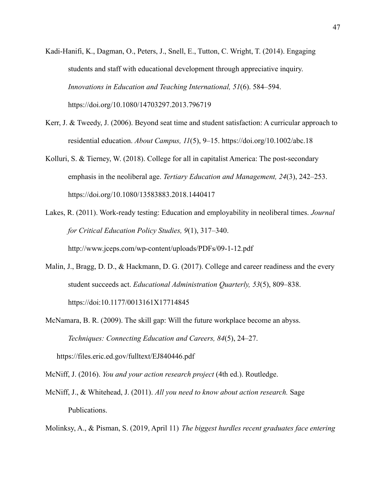- Kadi-Hanifi, K., Dagman, O., Peters, J., Snell, E., Tutton, C. Wright, T. (2014). Engaging students and staff with educational development through appreciative inquiry. *Innovations in Education and Teaching International, 51*(6). 584–594. <https://doi.org/10.1080/14703297.2013.796719>
- Kerr, J. & Tweedy, J. (2006). Beyond seat time and student satisfaction: A curricular approach to residential education. *About Campus, 11*(5), 9–15. <https://doi.org/10.1002/abc.18>
- Kolluri, S. & Tierney, W. (2018). College for all in capitalist America: The post-secondary emphasis in the neoliberal age. *Tertiary Education and Management, 24*(3), 242–253. <https://doi.org/10.1080/13583883.2018.1440417>
- Lakes, R. (2011). Work-ready testing: Education and employability in neoliberal times. *Journal for Critical Education Policy Studies, 9*(1), 317–340. <http://www.jceps.com/wp-content/uploads/PDFs/09-1-12.pdf>
- Malin, J., Bragg, D. D., & Hackmann, D. G. (2017). College and career readiness and the every student succeeds act. *Educational Administration Quarterly, 53*(5), 809–838. https://doi:10.1177/0013161X17714845
- McNamara, B. R. (2009). The skill gap: Will the future workplace become an abyss. *Techniques: Connecting Education and Careers, 84*(5), 24–27.

https://files.eric.ed.gov/fulltext/EJ840446.pdf

- McNiff, J. (2016). *You and your action research project* (4th ed.). Routledge.
- McNiff, J., & Whitehead, J. (2011). *All you need to know about action research.* Sage Publications.
- Molinksy, A., & Pisman, S. (2019, April 11) *The biggest hurdles recent graduates face entering*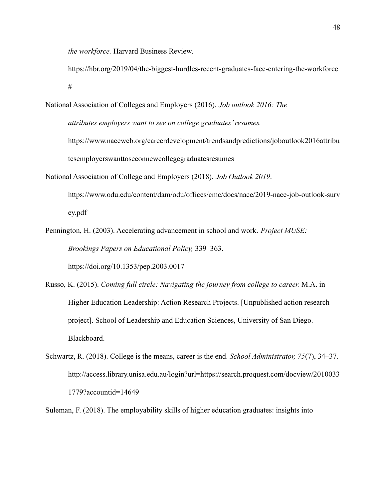*the workforce.* Harvard Business Review.

<https://hbr.org/2019/04/the-biggest-hurdles-recent-graduates-face-entering-the-workforce> [#](https://hbr.org/2019/04/the-biggest-hurdles-recent-graduates-face-entering-the-workforce)

- National Association of Colleges and Employers (2016). *Job outlook 2016: The attributes employers want to see on college graduates' resumes.* https://www.naceweb.org/careerdevelopment/trendsandpredictions/joboutlook2016attribu tesemployerswanttoseeonnewcollegegraduatesresumes National Association of College and Employers (2018). *Job Outlook 2019*.
- [https://www.odu.edu/content/dam/odu/offices/cmc/docs/nace/2019-nace-job-outlook-surv](https://www.odu.edu/content/dam/odu/offices/cmc/docs/nace/2019-nace-job-outlook-survey.pdf) [ey.pdf](https://www.odu.edu/content/dam/odu/offices/cmc/docs/nace/2019-nace-job-outlook-survey.pdf)
- Pennington, H. (2003). Accelerating advancement in school and work. *Project MUSE: Brookings Papers on Educational Policy,* 339–363.

<https://doi.org/10.1353/pep.2003.0017>

- Russo, K. (2015). *Coming full circle: Navigating the journey from college to career.* M.A. in Higher Education Leadership: Action Research Projects. [Unpublished action research project]. School of Leadership and Education Sciences, University of San Diego. Blackboard.
- Schwartz, R. (2018). College is the means, career is the end. *School Administrator, 75*(7), 34–37. [http://access.library.unisa.edu.au/login?url=https://search.proquest.com/docview/2010033](http://access.library.unisa.edu.au/login?url=https://search.proquest.com/docview/20100331779?accountid=14649) [1779?accountid=14649](http://access.library.unisa.edu.au/login?url=https://search.proquest.com/docview/20100331779?accountid=14649)

Suleman, F. (2018). The employability skills of higher education graduates: insights into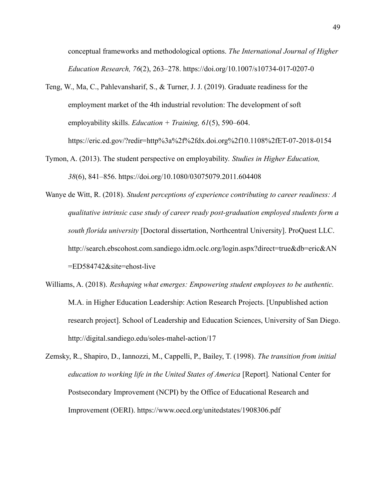conceptual frameworks and methodological options. *The International Journal of Higher Education Research, 76*(2), 263–278. https://doi.org/10.1007/s10734-017-0207-0

Teng, W., Ma, C., Pahlevansharif, S., & Turner, J. J. (2019). Graduate readiness for the employment market of the 4th industrial revolution: The development of soft employability skills. *Education + Training, 61*(5), 590–604. https://eric.ed.gov/?redir=http%3a%2f%2fdx.doi.org%2f10.1108%2fET-07-2018-0154

Tymon, A. (2013). The student perspective on employability. *Studies in Higher Education, 38*(6), 841–856. https://doi.org/10.1080/03075079.2011.604408

Wanye de Witt, R. (2018). *Student perceptions of experience contributing to career readiness: A qualitative intrinsic case study of career ready post-graduation employed students form a south florida university* [Doctoral dissertation, Northcentral University]. ProQuest LLC. [http://search.ebscohost.com.sandiego.idm.oclc.org/login.aspx?direct=true&db=eric&AN](http://search.ebscohost.com.sandiego.idm.oclc.org/login.aspx?direct=true&db=eric&AN=ED584742&site=ehost-live) [=ED584742&site=ehost-live](http://search.ebscohost.com.sandiego.idm.oclc.org/login.aspx?direct=true&db=eric&AN=ED584742&site=ehost-live)

Williams, A. (2018). *Reshaping what emerges: Empowering student employees to be authentic.* M.A. in Higher Education Leadership: Action Research Projects. [Unpublished action research project]. School of Leadership and Education Sciences, University of San Diego. <http://digital.sandiego.edu/soles-mahel-action/17>

Zemsky, R., Shapiro, D., Iannozzi, M., Cappelli, P., Bailey, T. (1998). *The transition from initial education to working life in the United States of America* [Report]*.* National Center for Postsecondary Improvement (NCPI) by the Office of Educational Research and Improvement (OERI). <https://www.oecd.org/unitedstates/1908306.pdf>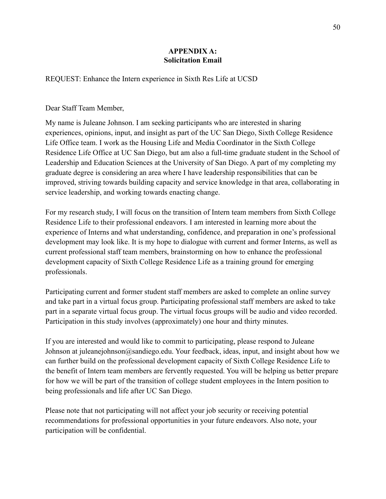# **APPENDIX A: Solicitation Email**

<span id="page-50-0"></span>REQUEST: Enhance the Intern experience in Sixth Res Life at UCSD

Dear Staff Team Member,

My name is Juleane Johnson. I am seeking participants who are interested in sharing experiences, opinions, input, and insight as part of the UC San Diego, Sixth College Residence Life Office team. I work as the Housing Life and Media Coordinator in the Sixth College Residence Life Office at UC San Diego, but am also a full-time graduate student in the School of Leadership and Education Sciences at the University of San Diego. A part of my completing my graduate degree is considering an area where I have leadership responsibilities that can be improved, striving towards building capacity and service knowledge in that area, collaborating in service leadership, and working towards enacting change.

For my research study, I will focus on the transition of Intern team members from Sixth College Residence Life to their professional endeavors. I am interested in learning more about the experience of Interns and what understanding, confidence, and preparation in one's professional development may look like. It is my hope to dialogue with current and former Interns, as well as current professional staff team members, brainstorming on how to enhance the professional development capacity of Sixth College Residence Life as a training ground for emerging professionals.

Participating current and former student staff members are asked to complete an online survey and take part in a virtual focus group. Participating professional staff members are asked to take part in a separate virtual focus group. The virtual focus groups will be audio and video recorded. Participation in this study involves (approximately) one hour and thirty minutes.

If you are interested and would like to commit to participating, please respond to Juleane Johnson at juleanejohnson@sandiego.edu. Your feedback, ideas, input, and insight about how we can further build on the professional development capacity of Sixth College Residence Life to the benefit of Intern team members are fervently requested. You will be helping us better prepare for how we will be part of the transition of college student employees in the Intern position to being professionals and life after UC San Diego.

Please note that not participating will not affect your job security or receiving potential recommendations for professional opportunities in your future endeavors. Also note, your participation will be confidential.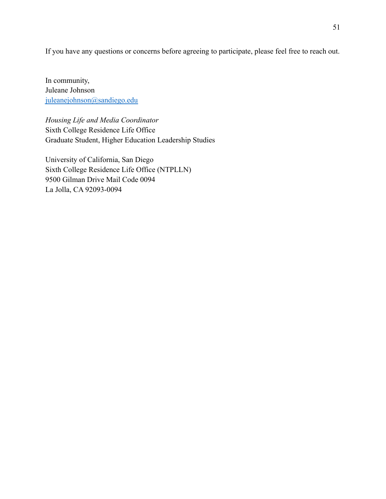If you have any questions or concerns before agreeing to participate, please feel free to reach out.

In community, Juleane Johnson [juleanejohnson@sandiego.edu](mailto:juleanejohnson@sandiego.edu)

*Housing Life and Media Coordinator* Sixth College Residence Life Office Graduate Student, Higher Education Leadership Studies

University of California, San Diego Sixth College Residence Life Office (NTPLLN) 9500 Gilman Drive Mail Code 0094 La Jolla, CA 92093-0094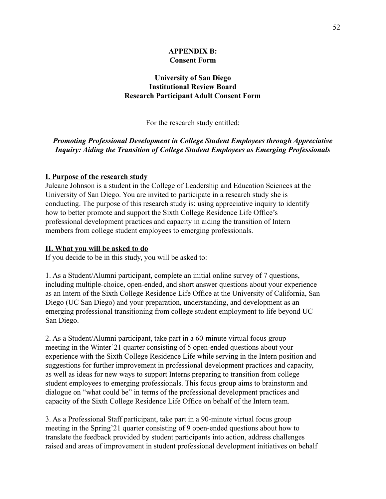# **APPENDIX B: Consent Form**

# **University of San Diego Institutional Review Board Research Participant Adult Consent Form**

For the research study entitled:

# *Promoting Professional Development in College Student Employees through Appreciative Inquiry: Aiding the Transition of College Student Employees as Emerging Professionals*

#### **I. Purpose of the research study**

Juleane Johnson is a student in the College of Leadership and Education Sciences at the University of San Diego. You are invited to participate in a research study she is conducting. The purpose of this research study is: using appreciative inquiry to identify how to better promote and support the Sixth College Residence Life Office's professional development practices and capacity in aiding the transition of Intern members from college student employees to emerging professionals.

#### **II. What you will be asked to do**

If you decide to be in this study, you will be asked to:

1. As a Student/Alumni participant, complete an initial online survey of 7 questions, including multiple-choice, open-ended, and short answer questions about your experience as an Intern of the Sixth College Residence Life Office at the University of California, San Diego (UC San Diego) and your preparation, understanding, and development as an emerging professional transitioning from college student employment to life beyond UC San Diego.

2. As a Student/Alumni participant, take part in a 60-minute virtual focus group meeting in the Winter'21 quarter consisting of 5 open-ended questions about your experience with the Sixth College Residence Life while serving in the Intern position and suggestions for further improvement in professional development practices and capacity, as well as ideas for new ways to support Interns preparing to transition from college student employees to emerging professionals. This focus group aims to brainstorm and dialogue on "what could be" in terms of the professional development practices and capacity of the Sixth College Residence Life Office on behalf of the Intern team.

3. As a Professional Staff participant, take part in a 90-minute virtual focus group meeting in the Spring'21 quarter consisting of 9 open-ended questions about how to translate the feedback provided by student participants into action, address challenges raised and areas of improvement in student professional development initiatives on behalf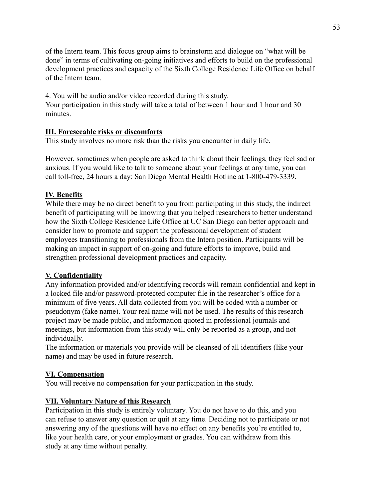of the Intern team. This focus group aims to brainstorm and dialogue on "what will be done" in terms of cultivating on-going initiatives and efforts to build on the professional development practices and capacity of the Sixth College Residence Life Office on behalf of the Intern team.

4. You will be audio and/or video recorded during this study.

Your participation in this study will take a total of between 1 hour and 1 hour and 30 minutes.

## **III. Foreseeable risks or discomforts**

This study involves no more risk than the risks you encounter in daily life.

However, sometimes when people are asked to think about their feelings, they feel sad or anxious. If you would like to talk to someone about your feelings at any time, you can call toll-free, 24 hours a day: San Diego Mental Health Hotline at 1-800-479-3339.

#### **IV. Benefits**

While there may be no direct benefit to you from participating in this study, the indirect benefit of participating will be knowing that you helped researchers to better understand how the Sixth College Residence Life Office at UC San Diego can better approach and consider how to promote and support the professional development of student employees transitioning to professionals from the Intern position. Participants will be making an impact in support of on-going and future efforts to improve, build and strengthen professional development practices and capacity.

#### **V. Confidentiality**

Any information provided and/or identifying records will remain confidential and kept in a locked file and/or password-protected computer file in the researcher's office for a minimum of five years. All data collected from you will be coded with a number or pseudonym (fake name). Your real name will not be used. The results of this research project may be made public, and information quoted in professional journals and meetings, but information from this study will only be reported as a group, and not individually.

The information or materials you provide will be cleansed of all identifiers (like your name) and may be used in future research.

## **VI. Compensation**

You will receive no compensation for your participation in the study.

## **VII. Voluntary Nature of this Research**

Participation in this study is entirely voluntary. You do not have to do this, and you can refuse to answer any question or quit at any time. Deciding not to participate or not answering any of the questions will have no effect on any benefits you're entitled to, like your health care, or your employment or grades. You can withdraw from this study at any time without penalty.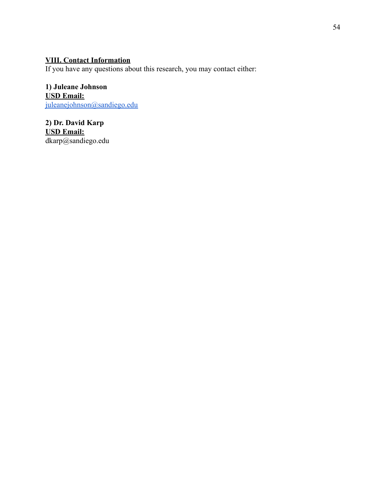# **VIII. Contact Information**

If you have any questions about this research, you may contact either:

**1) Juleane Johnson USD Email:** [juleanejohnson@sandiego.edu](mailto:juleanejohnson@sandiego.edu)

**2) Dr. David Karp USD Email:** dkarp@sandiego.edu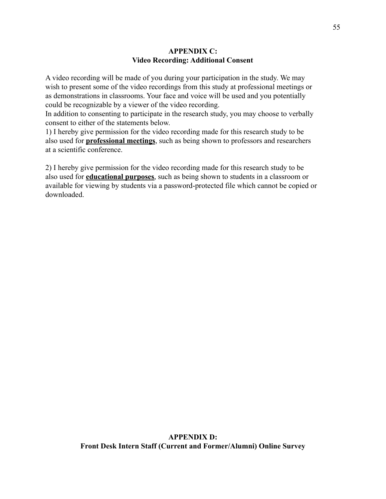# **APPENDIX C: Video Recording: Additional Consent**

A video recording will be made of you during your participation in the study. We may wish to present some of the video recordings from this study at professional meetings or as demonstrations in classrooms. Your face and voice will be used and you potentially could be recognizable by a viewer of the video recording.

In addition to consenting to participate in the research study, you may choose to verbally consent to either of the statements below.

1) I hereby give permission for the video recording made for this research study to be also used for **professional meetings**, such as being shown to professors and researchers at a scientific conference.

2) I hereby give permission for the video recording made for this research study to be also used for **educational purposes**, such as being shown to students in a classroom or available for viewing by students via a password-protected file which cannot be copied or downloaded.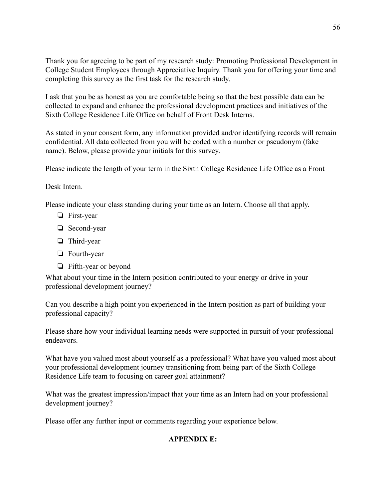Thank you for agreeing to be part of my research study: Promoting Professional Development in College Student Employees through Appreciative Inquiry. Thank you for offering your time and completing this survey as the first task for the research study.

I ask that you be as honest as you are comfortable being so that the best possible data can be collected to expand and enhance the professional development practices and initiatives of the Sixth College Residence Life Office on behalf of Front Desk Interns.

As stated in your consent form, any information provided and/or identifying records will remain confidential. All data collected from you will be coded with a number or pseudonym (fake name). Below, please provide your initials for this survey.

Please indicate the length of your term in the Sixth College Residence Life Office as a Front

Desk Intern.

Please indicate your class standing during your time as an Intern. Choose all that apply.

- ❏ First-year
- ❏ Second-year
- ❏ Third-year
- ❏ Fourth-year
- ❏ Fifth-year or beyond

What about your time in the Intern position contributed to your energy or drive in your professional development journey?

Can you describe a high point you experienced in the Intern position as part of building your professional capacity?

Please share how your individual learning needs were supported in pursuit of your professional endeavors.

What have you valued most about yourself as a professional? What have you valued most about your professional development journey transitioning from being part of the Sixth College Residence Life team to focusing on career goal attainment?

What was the greatest impression/impact that your time as an Intern had on your professional development journey?

Please offer any further input or comments regarding your experience below.

# **APPENDIX E:**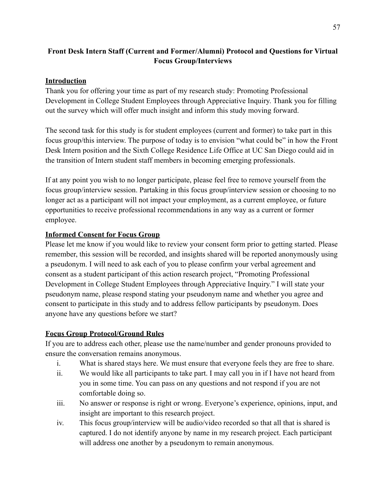# **Front Desk Intern Staff (Current and Former/Alumni) Protocol and Questions for Virtual Focus Group/Interviews**

# **Introduction**

Thank you for offering your time as part of my research study: Promoting Professional Development in College Student Employees through Appreciative Inquiry. Thank you for filling out the survey which will offer much insight and inform this study moving forward.

The second task for this study is for student employees (current and former) to take part in this focus group/this interview. The purpose of today is to envision "what could be" in how the Front Desk Intern position and the Sixth College Residence Life Office at UC San Diego could aid in the transition of Intern student staff members in becoming emerging professionals.

If at any point you wish to no longer participate, please feel free to remove yourself from the focus group/interview session. Partaking in this focus group/interview session or choosing to no longer act as a participant will not impact your employment, as a current employee, or future opportunities to receive professional recommendations in any way as a current or former employee.

# **Informed Consent for Focus Group**

Please let me know if you would like to review your consent form prior to getting started. Please remember, this session will be recorded, and insights shared will be reported anonymously using a pseudonym. I will need to ask each of you to please confirm your verbal agreement and consent as a student participant of this action research project, "Promoting Professional Development in College Student Employees through Appreciative Inquiry." I will state your pseudonym name, please respond stating your pseudonym name and whether you agree and consent to participate in this study and to address fellow participants by pseudonym. Does anyone have any questions before we start?

# **Focus Group Protocol/Ground Rules**

If you are to address each other, please use the name/number and gender pronouns provided to ensure the conversation remains anonymous.

- i. What is shared stays here. We must ensure that everyone feels they are free to share.
- ii. We would like all participants to take part. I may call you in if I have not heard from you in some time. You can pass on any questions and not respond if you are not comfortable doing so.
- iii. No answer or response is right or wrong. Everyone's experience, opinions, input, and insight are important to this research project.
- iv. This focus group/interview will be audio/video recorded so that all that is shared is captured. I do not identify anyone by name in my research project. Each participant will address one another by a pseudonym to remain anonymous.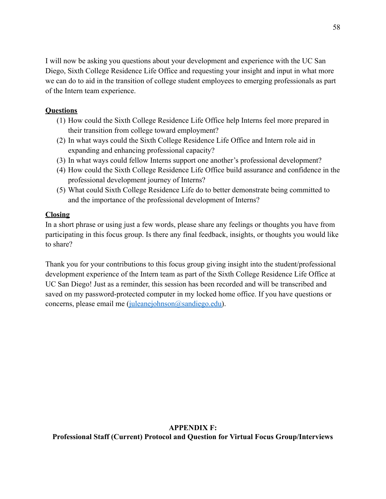I will now be asking you questions about your development and experience with the UC San Diego, Sixth College Residence Life Office and requesting your insight and input in what more we can do to aid in the transition of college student employees to emerging professionals as part of the Intern team experience.

# **Questions**

- (1) How could the Sixth College Residence Life Office help Interns feel more prepared in their transition from college toward employment?
- (2) In what ways could the Sixth College Residence Life Office and Intern role aid in expanding and enhancing professional capacity?
- (3) In what ways could fellow Interns support one another's professional development?
- (4) How could the Sixth College Residence Life Office build assurance and confidence in the professional development journey of Interns?
- (5) What could Sixth College Residence Life do to better demonstrate being committed to and the importance of the professional development of Interns?

# **Closing**

In a short phrase or using just a few words, please share any feelings or thoughts you have from participating in this focus group. Is there any final feedback, insights, or thoughts you would like to share?

Thank you for your contributions to this focus group giving insight into the student/professional development experience of the Intern team as part of the Sixth College Residence Life Office at UC San Diego! Just as a reminder, this session has been recorded and will be transcribed and saved on my password-protected computer in my locked home office. If you have questions or concerns, please email me ([juleanejohnson@sandiego.edu\)](mailto:juleanejohnson@sandiego.edu).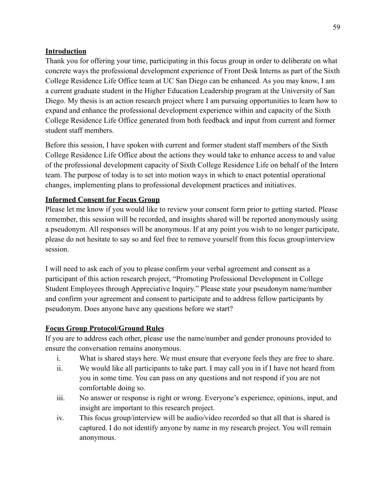# **Introduction**

Thank you for offering your time, participating in this focus group in order to deliberate on what concrete ways the professional development experience of Front Desk Interns as part of the Sixth College Residence Life Office team at UC San Diego can be enhanced. As you may know, I am a current graduate student in the Higher Education Leadership program at the University of San Diego. My thesis is an action research project where I am pursuing opportunities to learn how to expand and enhance the professional development experience within and capacity of the Sixth College Residence Life Office generated from both feedback and input from current and former student staff members.

Before this session, I have spoken with current and former student staff members of the Sixth College Residence Life Office about the actions they would take to enhance access to and value of the professional development capacity of Sixth College Residence Life on behalf of the Intern team. The purpose of today is to set into motion ways in which to enact potential operational changes, implementing plans to professional development practices and initiatives.

# **Informed Consent for Focus Group**

Please let me know if you would like to review your consent form prior to getting started. Please remember, this session will be recorded, and insights shared will be reported anonymously using a pseudonym. All responses will be anonymous. If at any point you wish to no longer participate, please do not hesitate to say so and feel free to remove yourself from this focus group/interview session.

I will need to ask each of you to please confirm your verbal agreement and consent as a participant of this action research project, "Promoting Professional Development in College Student Employees through Appreciative Inquiry." Please state your pseudonym name/number and confirm your agreement and consent to participate and to address fellow participants by pseudonym. Does anyone have any questions before we start?

# **Focus Group Protocol/Ground Rules**

If you are to address each other, please use the name/number and gender pronouns provided to ensure the conversation remains anonymous.

- i. What is shared stays here. We must ensure that everyone feels they are free to share.
- ii. We would like all participants to take part. I may call you in if I have not heard from you in some time. You can pass on any questions and not respond if you are not comfortable doing so.
- iii. No answer or response is right or wrong. Everyone's experience, opinions, input, and insight are important to this research project.
- iv. This focus group/interview will be audio/video recorded so that all that is shared is captured. I do not identify anyone by name in my research project. You will remain anonymous.